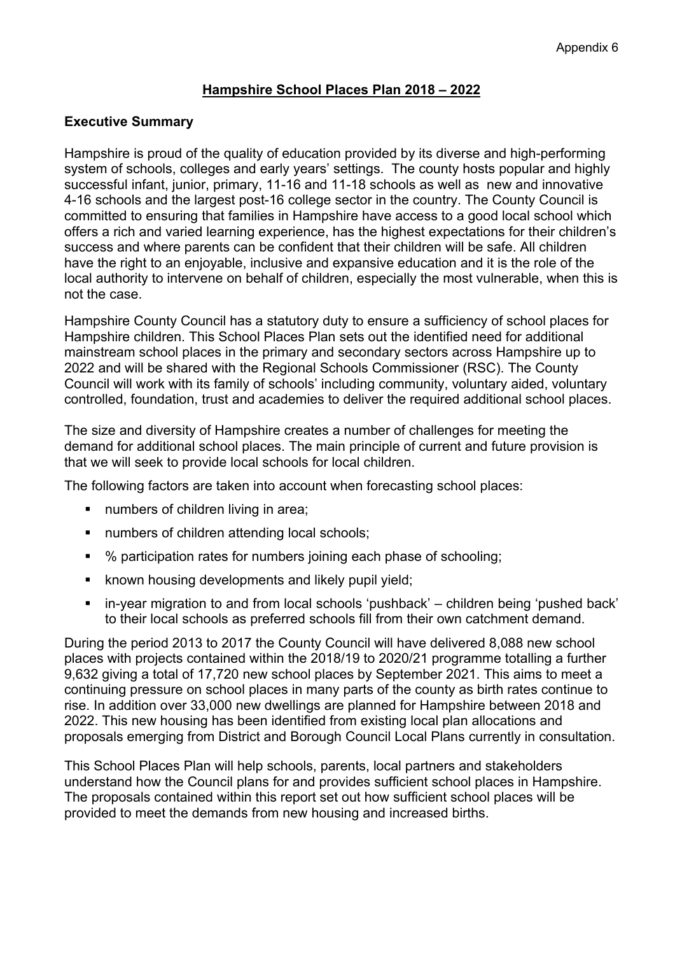### **Hampshire School Places Plan 2018 – 2022**

#### **Executive Summary**

Hampshire is proud of the quality of education provided by its diverse and high-performing system of schools, colleges and early years' settings. The county hosts popular and highly successful infant, junior, primary, 11-16 and 11-18 schools as well as new and innovative 4-16 schools and the largest post-16 college sector in the country. The County Council is committed to ensuring that families in Hampshire have access to a good local school which offers a rich and varied learning experience, has the highest expectations for their children's success and where parents can be confident that their children will be safe. All children have the right to an enjoyable, inclusive and expansive education and it is the role of the local authority to intervene on behalf of children, especially the most vulnerable, when this is not the case.

Hampshire County Council has a statutory duty to ensure a sufficiency of school places for Hampshire children. This School Places Plan sets out the identified need for additional mainstream school places in the primary and secondary sectors across Hampshire up to 2022 and will be shared with the Regional Schools Commissioner (RSC). The County Council will work with its family of schools' including community, voluntary aided, voluntary controlled, foundation, trust and academies to deliver the required additional school places.

The size and diversity of Hampshire creates a number of challenges for meeting the demand for additional school places. The main principle of current and future provision is that we will seek to provide local schools for local children.

The following factors are taken into account when forecasting school places:

- numbers of children living in area;
- numbers of children attending local schools;
- % participation rates for numbers joining each phase of schooling;
- **EXECT** known housing developments and likely pupil yield;
- in-year migration to and from local schools 'pushback' children being 'pushed back' to their local schools as preferred schools fill from their own catchment demand.

During the period 2013 to 2017 the County Council will have delivered 8,088 new school places with projects contained within the 2018/19 to 2020/21 programme totalling a further 9,632 giving a total of 17,720 new school places by September 2021. This aims to meet a continuing pressure on school places in many parts of the county as birth rates continue to rise. In addition over 33,000 new dwellings are planned for Hampshire between 2018 and 2022. This new housing has been identified from existing local plan allocations and proposals emerging from District and Borough Council Local Plans currently in consultation.

This School Places Plan will help schools, parents, local partners and stakeholders understand how the Council plans for and provides sufficient school places in Hampshire. The proposals contained within this report set out how sufficient school places will be provided to meet the demands from new housing and increased births.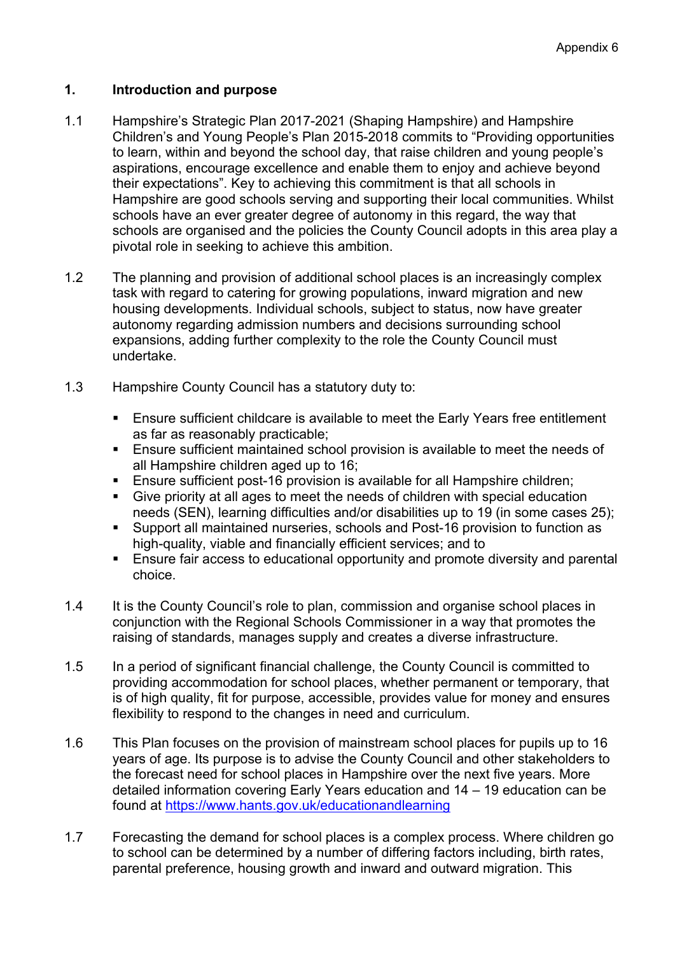### **1. Introduction and purpose**

- 1.1 Hampshire's Strategic Plan 2017-2021 (Shaping Hampshire) and Hampshire Children's and Young People's Plan 2015-2018 commits to "Providing opportunities to learn, within and beyond the school day, that raise children and young people's aspirations, encourage excellence and enable them to enjoy and achieve beyond their expectations". Key to achieving this commitment is that all schools in Hampshire are good schools serving and supporting their local communities. Whilst schools have an ever greater degree of autonomy in this regard, the way that schools are organised and the policies the County Council adopts in this area play a pivotal role in seeking to achieve this ambition.
- 1.2 The planning and provision of additional school places is an increasingly complex task with regard to catering for growing populations, inward migration and new housing developments. Individual schools, subject to status, now have greater autonomy regarding admission numbers and decisions surrounding school expansions, adding further complexity to the role the County Council must undertake.
- 1.3 Hampshire County Council has a statutory duty to:
	- Ensure sufficient childcare is available to meet the Early Years free entitlement as far as reasonably practicable;
	- Ensure sufficient maintained school provision is available to meet the needs of all Hampshire children aged up to 16;
	- **Ensure sufficient post-16 provision is available for all Hampshire children;**
	- Give priority at all ages to meet the needs of children with special education needs (SEN), learning difficulties and/or disabilities up to 19 (in some cases 25);
	- Support all maintained nurseries, schools and Post-16 provision to function as high-quality, viable and financially efficient services; and to
	- Ensure fair access to educational opportunity and promote diversity and parental choice.
- 1.4 It is the County Council's role to plan, commission and organise school places in conjunction with the Regional Schools Commissioner in a way that promotes the raising of standards, manages supply and creates a diverse infrastructure.
- 1.5 In a period of significant financial challenge, the County Council is committed to providing accommodation for school places, whether permanent or temporary, that is of high quality, fit for purpose, accessible, provides value for money and ensures flexibility to respond to the changes in need and curriculum.
- 1.6 This Plan focuses on the provision of mainstream school places for pupils up to 16 years of age. Its purpose is to advise the County Council and other stakeholders to the forecast need for school places in Hampshire over the next five years. More detailed information covering Early Years education and 14 – 19 education can be found at <https://www.hants.gov.uk/educationandlearning>
- 1.7 Forecasting the demand for school places is a complex process. Where children go to school can be determined by a number of differing factors including, birth rates, parental preference, housing growth and inward and outward migration. This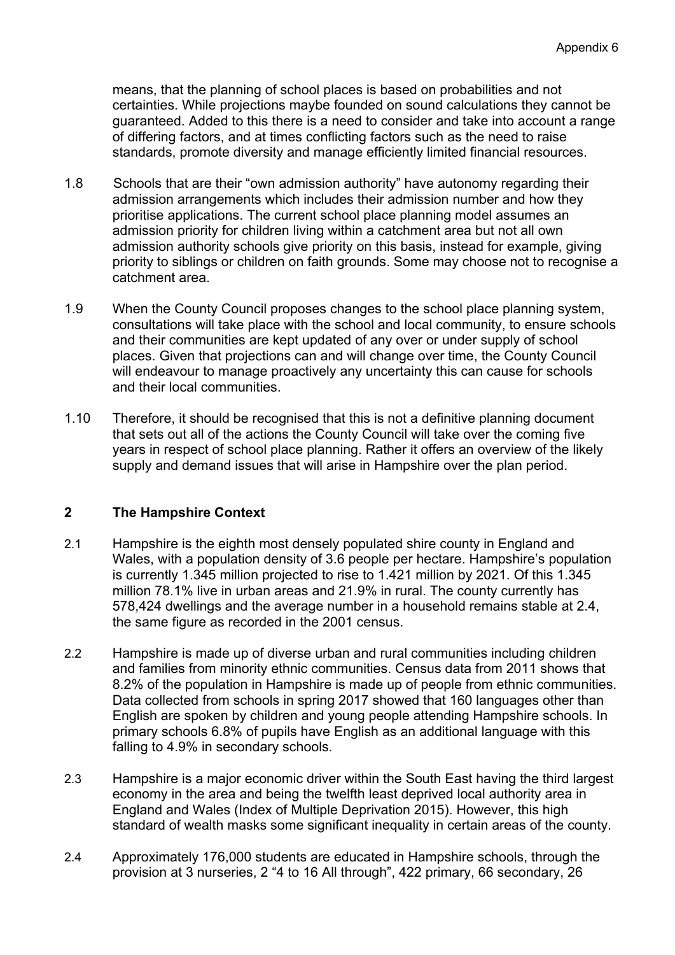means, that the planning of school places is based on probabilities and not certainties. While projections maybe founded on sound calculations they cannot be guaranteed. Added to this there is a need to consider and take into account a range of differing factors, and at times conflicting factors such as the need to raise standards, promote diversity and manage efficiently limited financial resources.

- 1.8 Schools that are their "own admission authority" have autonomy regarding their admission arrangements which includes their admission number and how they prioritise applications. The current school place planning model assumes an admission priority for children living within a catchment area but not all own admission authority schools give priority on this basis, instead for example, giving priority to siblings or children on faith grounds. Some may choose not to recognise a catchment area.
- 1.9 When the County Council proposes changes to the school place planning system, consultations will take place with the school and local community, to ensure schools and their communities are kept updated of any over or under supply of school places. Given that projections can and will change over time, the County Council will endeavour to manage proactively any uncertainty this can cause for schools and their local communities.
- 1.10 Therefore, it should be recognised that this is not a definitive planning document that sets out all of the actions the County Council will take over the coming five years in respect of school place planning. Rather it offers an overview of the likely supply and demand issues that will arise in Hampshire over the plan period.

# **2 The Hampshire Context**

- 2.1 Hampshire is the eighth most densely populated shire county in England and Wales, with a population density of 3.6 people per hectare. Hampshire's population is currently 1.345 million projected to rise to 1.421 million by 2021. Of this 1.345 million 78.1% live in urban areas and 21.9% in rural. The county currently has 578,424 dwellings and the average number in a household remains stable at 2.4, the same figure as recorded in the 2001 census.
- 2.2 Hampshire is made up of diverse urban and rural communities including children and families from minority ethnic communities. Census data from 2011 shows that 8.2% of the population in Hampshire is made up of people from ethnic communities. Data collected from schools in spring 2017 showed that 160 languages other than English are spoken by children and young people attending Hampshire schools. In primary schools 6.8% of pupils have English as an additional language with this falling to 4.9% in secondary schools.
- 2.3 Hampshire is a major economic driver within the South East having the third largest economy in the area and being the twelfth least deprived local authority area in England and Wales (Index of Multiple Deprivation 2015). However, this high standard of wealth masks some significant inequality in certain areas of the county.
- 2.4 Approximately 176,000 students are educated in Hampshire schools, through the provision at 3 nurseries, 2 "4 to 16 All through", 422 primary, 66 secondary, 26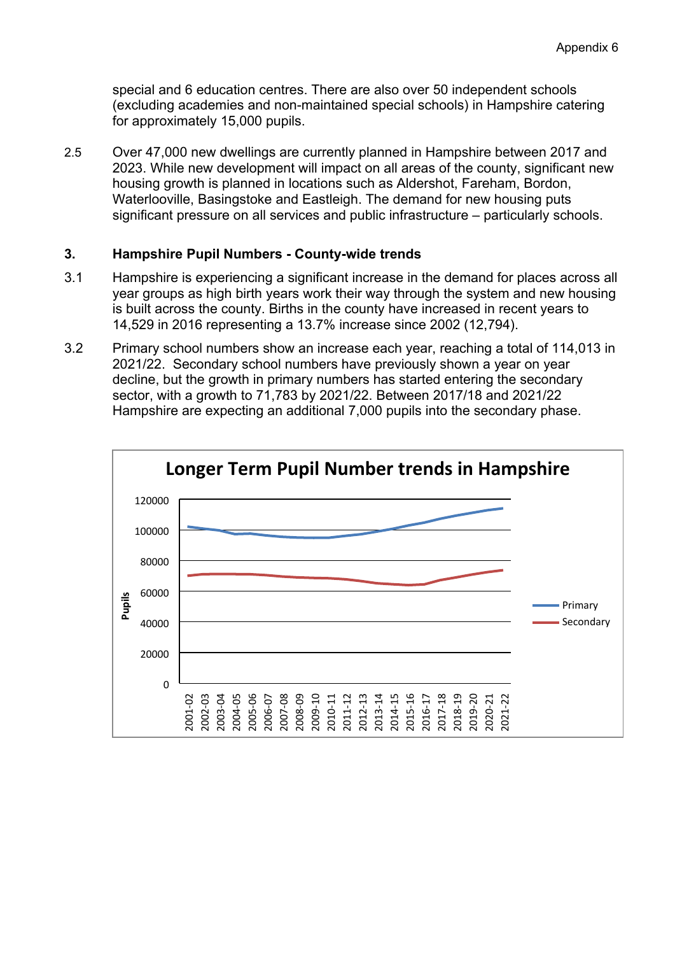special and 6 education centres. There are also over 50 independent schools (excluding academies and non-maintained special schools) in Hampshire catering for approximately 15,000 pupils.

2.5 Over 47,000 new dwellings are currently planned in Hampshire between 2017 and 2023. While new development will impact on all areas of the county, significant new housing growth is planned in locations such as Aldershot, Fareham, Bordon, Waterlooville, Basingstoke and Eastleigh. The demand for new housing puts significant pressure on all services and public infrastructure – particularly schools.

#### **3. Hampshire Pupil Numbers - County-wide trends**

- 3.1 Hampshire is experiencing a significant increase in the demand for places across all year groups as high birth years work their way through the system and new housing is built across the county. Births in the county have increased in recent years to 14,529 in 2016 representing a 13.7% increase since 2002 (12,794).
- 3.2 Primary school numbers show an increase each year, reaching a total of 114,013 in 2021/22. Secondary school numbers have previously shown a year on year decline, but the growth in primary numbers has started entering the secondary sector, with a growth to 71,783 by 2021/22. Between 2017/18 and 2021/22 Hampshire are expecting an additional 7,000 pupils into the secondary phase.

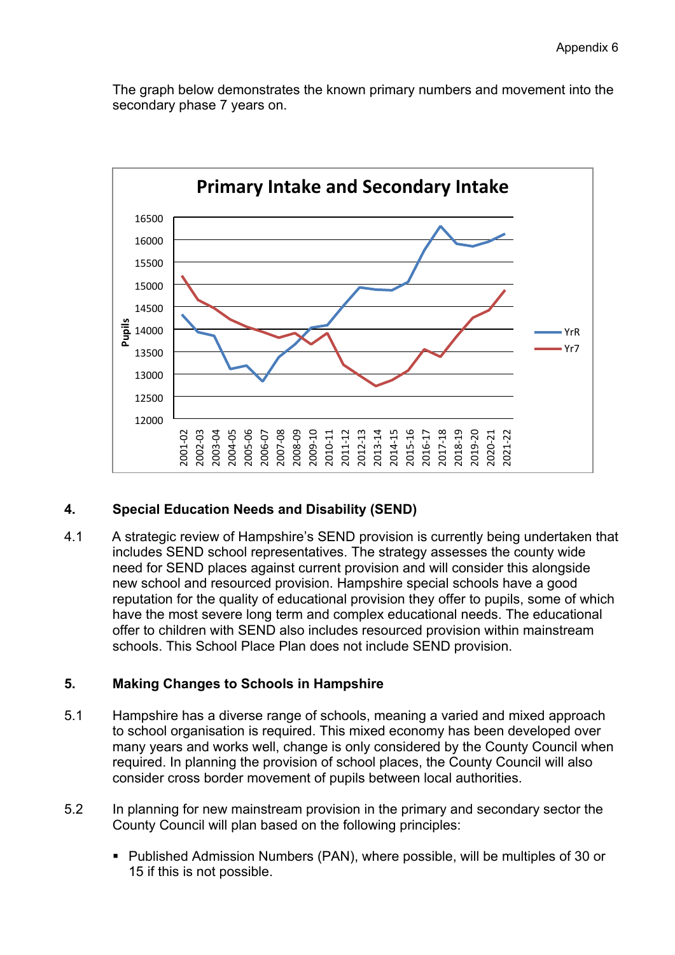The graph below demonstrates the known primary numbers and movement into the secondary phase 7 years on.



#### **4. Special Education Needs and Disability (SEND)**

4.1 A strategic review of Hampshire's SEND provision is currently being undertaken that includes SEND school representatives. The strategy assesses the county wide need for SEND places against current provision and will consider this alongside new school and resourced provision. Hampshire special schools have a good reputation for the quality of educational provision they offer to pupils, some of which have the most severe long term and complex educational needs. The educational offer to children with SEND also includes resourced provision within mainstream schools. This School Place Plan does not include SEND provision.

#### **5. Making Changes to Schools in Hampshire**

- 5.1 Hampshire has a diverse range of schools, meaning a varied and mixed approach to school organisation is required. This mixed economy has been developed over many years and works well, change is only considered by the County Council when required. In planning the provision of school places, the County Council will also consider cross border movement of pupils between local authorities.
- 5.2 In planning for new mainstream provision in the primary and secondary sector the County Council will plan based on the following principles:
	- Published Admission Numbers (PAN), where possible, will be multiples of 30 or 15 if this is not possible.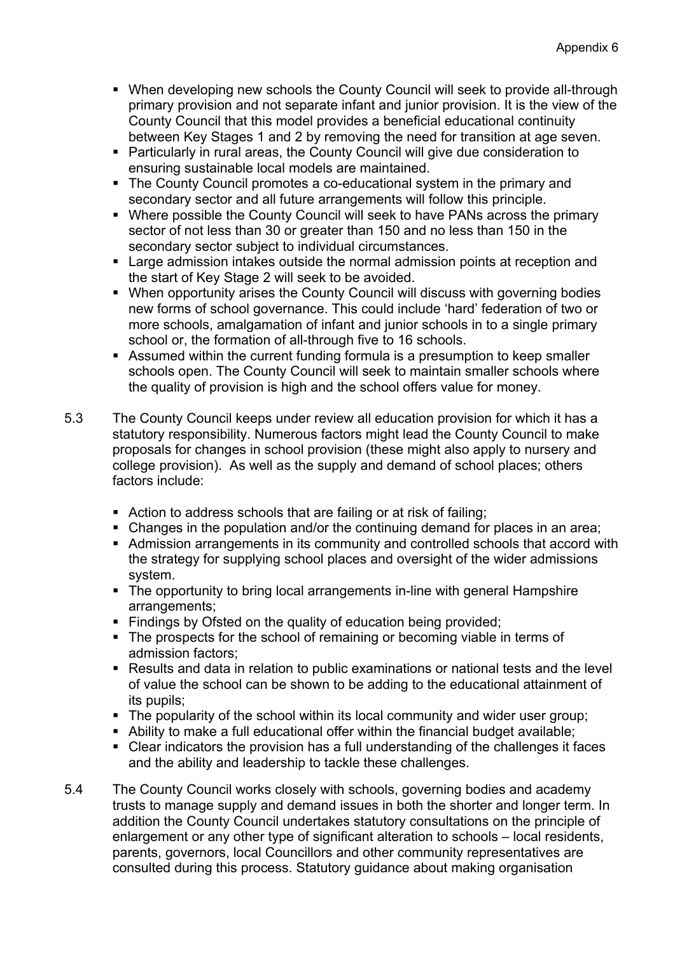- When developing new schools the County Council will seek to provide all-through primary provision and not separate infant and junior provision. It is the view of the County Council that this model provides a beneficial educational continuity between Key Stages 1 and 2 by removing the need for transition at age seven.
- Particularly in rural areas, the County Council will give due consideration to ensuring sustainable local models are maintained.
- The County Council promotes a co-educational system in the primary and secondary sector and all future arrangements will follow this principle.
- Where possible the County Council will seek to have PANs across the primary sector of not less than 30 or greater than 150 and no less than 150 in the secondary sector subject to individual circumstances.
- Large admission intakes outside the normal admission points at reception and the start of Key Stage 2 will seek to be avoided.
- When opportunity arises the County Council will discuss with governing bodies new forms of school governance. This could include 'hard' federation of two or more schools, amalgamation of infant and junior schools in to a single primary school or, the formation of all-through five to 16 schools.
- Assumed within the current funding formula is a presumption to keep smaller schools open. The County Council will seek to maintain smaller schools where the quality of provision is high and the school offers value for money.
- 5.3 The County Council keeps under review all education provision for which it has a statutory responsibility. Numerous factors might lead the County Council to make proposals for changes in school provision (these might also apply to nursery and college provision). As well as the supply and demand of school places; others factors include:
	- Action to address schools that are failing or at risk of failing;
	- Changes in the population and/or the continuing demand for places in an area;
	- Admission arrangements in its community and controlled schools that accord with the strategy for supplying school places and oversight of the wider admissions system.
	- The opportunity to bring local arrangements in-line with general Hampshire arrangements;
	- Findings by Ofsted on the quality of education being provided;
	- The prospects for the school of remaining or becoming viable in terms of admission factors;
	- Results and data in relation to public examinations or national tests and the level of value the school can be shown to be adding to the educational attainment of its pupils;
	- The popularity of the school within its local community and wider user group;
	- Ability to make a full educational offer within the financial budget available;
	- Clear indicators the provision has a full understanding of the challenges it faces and the ability and leadership to tackle these challenges.
- 5.4 The County Council works closely with schools, governing bodies and academy trusts to manage supply and demand issues in both the shorter and longer term. In addition the County Council undertakes statutory consultations on the principle of enlargement or any other type of significant alteration to schools – local residents, parents, governors, local Councillors and other community representatives are consulted during this process. Statutory guidance about making organisation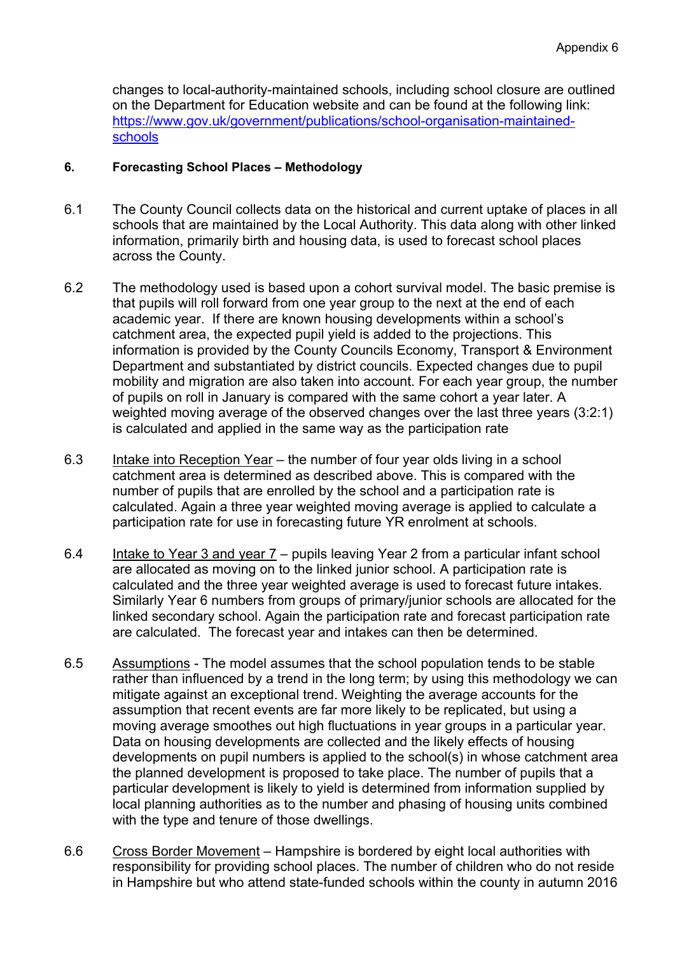changes to local-authority-maintained schools, including school closure are outlined on the Department for Education website and can be found at the following link: [https://www.gov.uk/government/publications/school-organisation-maintained](https://www.gov.uk/government/publications/school-organisation-maintained-schools)[schools](https://www.gov.uk/government/publications/school-organisation-maintained-schools)

#### **6. Forecasting School Places – Methodology**

- 6.1 The County Council collects data on the historical and current uptake of places in all schools that are maintained by the Local Authority. This data along with other linked information, primarily birth and housing data, is used to forecast school places across the County.
- 6.2 The methodology used is based upon a cohort survival model. The basic premise is that pupils will roll forward from one year group to the next at the end of each academic year. If there are known housing developments within a school's catchment area, the expected pupil yield is added to the projections. This information is provided by the County Councils Economy, Transport & Environment Department and substantiated by district councils. Expected changes due to pupil mobility and migration are also taken into account. For each year group, the number of pupils on roll in January is compared with the same cohort a year later. A weighted moving average of the observed changes over the last three years (3:2:1) is calculated and applied in the same way as the participation rate
- 6.3 Intake into Reception Year the number of four year olds living in a school catchment area is determined as described above. This is compared with the number of pupils that are enrolled by the school and a participation rate is calculated. Again a three year weighted moving average is applied to calculate a participation rate for use in forecasting future YR enrolment at schools.
- 6.4 Intake to Year 3 and year 7 pupils leaving Year 2 from a particular infant school are allocated as moving on to the linked junior school. A participation rate is calculated and the three year weighted average is used to forecast future intakes. Similarly Year 6 numbers from groups of primary/junior schools are allocated for the linked secondary school. Again the participation rate and forecast participation rate are calculated. The forecast year and intakes can then be determined.
- 6.5 Assumptions The model assumes that the school population tends to be stable rather than influenced by a trend in the long term; by using this methodology we can mitigate against an exceptional trend. Weighting the average accounts for the assumption that recent events are far more likely to be replicated, but using a moving average smoothes out high fluctuations in year groups in a particular year. Data on housing developments are collected and the likely effects of housing developments on pupil numbers is applied to the school(s) in whose catchment area the planned development is proposed to take place. The number of pupils that a particular development is likely to yield is determined from information supplied by local planning authorities as to the number and phasing of housing units combined with the type and tenure of those dwellings.
- 6.6 Cross Border Movement Hampshire is bordered by eight local authorities with responsibility for providing school places. The number of children who do not reside in Hampshire but who attend state-funded schools within the county in autumn 2016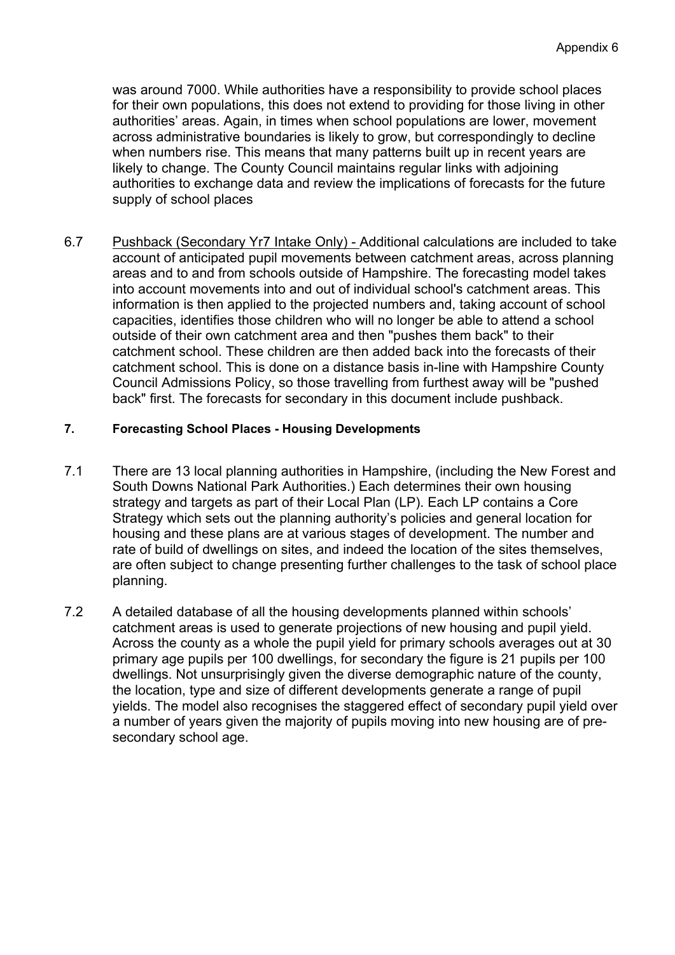was around 7000. While authorities have a responsibility to provide school places for their own populations, this does not extend to providing for those living in other authorities' areas. Again, in times when school populations are lower, movement across administrative boundaries is likely to grow, but correspondingly to decline when numbers rise. This means that many patterns built up in recent years are likely to change. The County Council maintains regular links with adjoining authorities to exchange data and review the implications of forecasts for the future supply of school places

6.7 Pushback (Secondary Yr7 Intake Only) - Additional calculations are included to take account of anticipated pupil movements between catchment areas, across planning areas and to and from schools outside of Hampshire. The forecasting model takes into account movements into and out of individual school's catchment areas. This information is then applied to the projected numbers and, taking account of school capacities, identifies those children who will no longer be able to attend a school outside of their own catchment area and then "pushes them back" to their catchment school. These children are then added back into the forecasts of their catchment school. This is done on a distance basis in-line with Hampshire County Council Admissions Policy, so those travelling from furthest away will be "pushed back" first. The forecasts for secondary in this document include pushback.

#### **7. Forecasting School Places - Housing Developments**

- 7.1 There are 13 local planning authorities in Hampshire, (including the New Forest and South Downs National Park Authorities.) Each determines their own housing strategy and targets as part of their Local Plan (LP). Each LP contains a Core Strategy which sets out the planning authority's policies and general location for housing and these plans are at various stages of development. The number and rate of build of dwellings on sites, and indeed the location of the sites themselves, are often subject to change presenting further challenges to the task of school place planning.
- 7.2 A detailed database of all the housing developments planned within schools' catchment areas is used to generate projections of new housing and pupil yield. Across the county as a whole the pupil yield for primary schools averages out at 30 primary age pupils per 100 dwellings, for secondary the figure is 21 pupils per 100 dwellings. Not unsurprisingly given the diverse demographic nature of the county, the location, type and size of different developments generate a range of pupil yields. The model also recognises the staggered effect of secondary pupil yield over a number of years given the majority of pupils moving into new housing are of presecondary school age.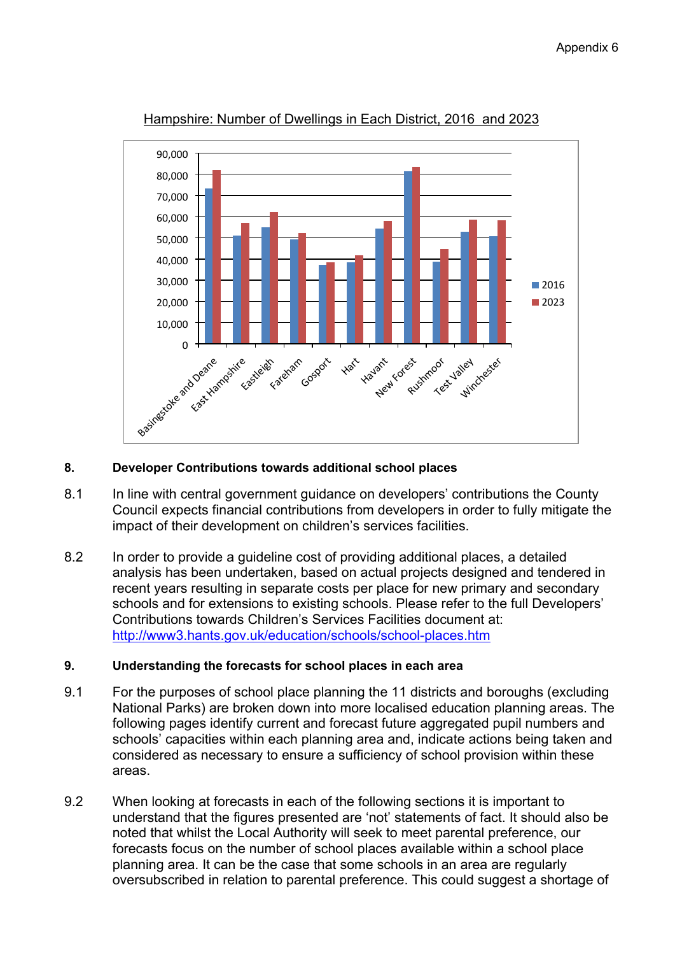

Hampshire: Number of Dwellings in Each District, 2016 and 2023

### **8. Developer Contributions towards additional school places**

- 8.1 In line with central government guidance on developers' contributions the County Council expects financial contributions from developers in order to fully mitigate the impact of their development on children's services facilities.
- 8.2 In order to provide a guideline cost of providing additional places, a detailed analysis has been undertaken, based on actual projects designed and tendered in recent years resulting in separate costs per place for new primary and secondary schools and for extensions to existing schools. Please refer to the full Developers' Contributions towards Children's Services Facilities document at: <http://www3.hants.gov.uk/education/schools/school-places.htm>

# **9. Understanding the forecasts for school places in each area**

- 9.1 For the purposes of school place planning the 11 districts and boroughs (excluding National Parks) are broken down into more localised education planning areas. The following pages identify current and forecast future aggregated pupil numbers and schools' capacities within each planning area and, indicate actions being taken and considered as necessary to ensure a sufficiency of school provision within these areas.
- 9.2 When looking at forecasts in each of the following sections it is important to understand that the figures presented are 'not' statements of fact. It should also be noted that whilst the Local Authority will seek to meet parental preference, our forecasts focus on the number of school places available within a school place planning area. It can be the case that some schools in an area are regularly oversubscribed in relation to parental preference. This could suggest a shortage of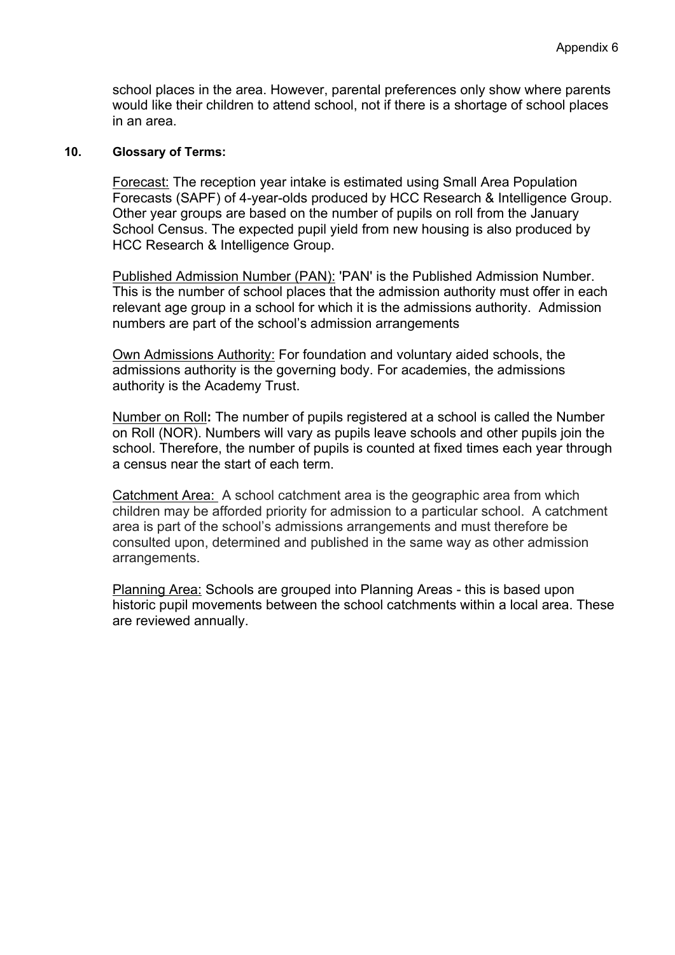school places in the area. However, parental preferences only show where parents would like their children to attend school, not if there is a shortage of school places in an area.

#### **10. Glossary of Terms:**

Forecast: The reception year intake is estimated using Small Area Population Forecasts (SAPF) of 4-year-olds produced by HCC Research & Intelligence Group. Other year groups are based on the number of pupils on roll from the January School Census. The expected pupil yield from new housing is also produced by HCC Research & Intelligence Group.

Published Admission Number (PAN): 'PAN' is the Published Admission Number. This is the number of school places that the admission authority must offer in each relevant age group in a school for which it is the admissions authority. Admission numbers are part of the school's admission arrangements

Own Admissions Authority: For foundation and voluntary aided schools, the admissions authority is the governing body. For academies, the admissions authority is the Academy Trust.

Number on Roll**:** The number of pupils registered at a school is called the Number on Roll (NOR). Numbers will vary as pupils leave schools and other pupils join the school. Therefore, the number of pupils is counted at fixed times each year through a census near the start of each term.

Catchment Area: A school catchment area is the geographic area from which children may be afforded priority for admission to a particular school. A catchment area is part of the school's admissions arrangements and must therefore be consulted upon, determined and published in the same way as other admission arrangements.

Planning Area: Schools are grouped into Planning Areas - this is based upon historic pupil movements between the school catchments within a local area. These are reviewed annually.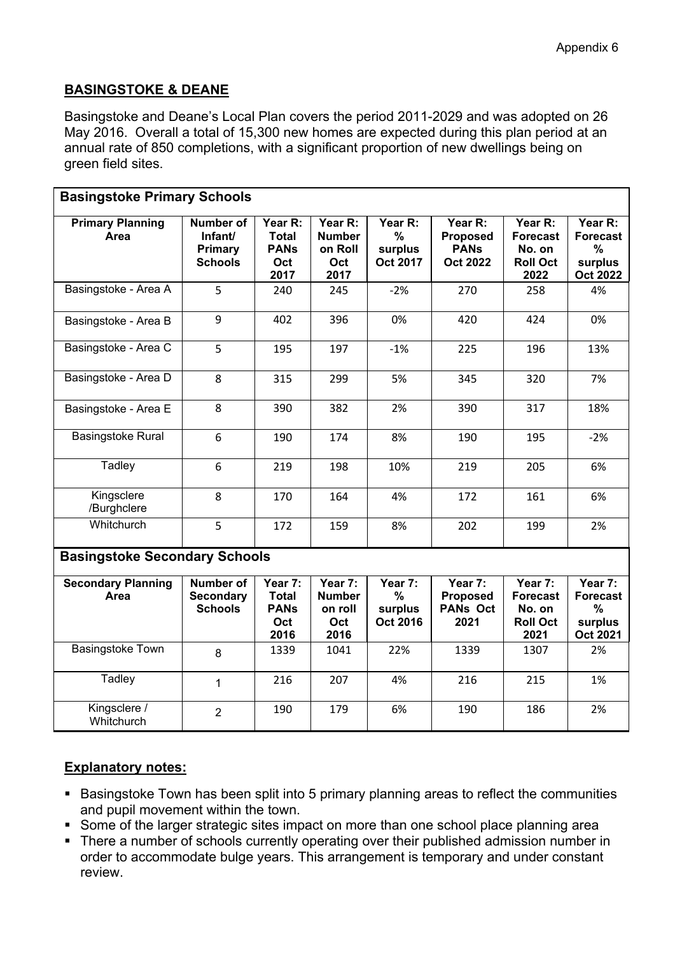# **BASINGSTOKE & DEANE**

Basingstoke and Deane's Local Plan covers the period 2011-2029 and was adopted on 26 May 2016. Overall a total of 15,300 new homes are expected during this plan period at an annual rate of 850 completions, with a significant proportion of new dwellings being on green field sites.

| <b>Basingstoke Primary Schools</b>   |                                                                 |                                                       |                                                    |                                                 |                                                              |                                                                 |                                                                  |  |  |  |
|--------------------------------------|-----------------------------------------------------------------|-------------------------------------------------------|----------------------------------------------------|-------------------------------------------------|--------------------------------------------------------------|-----------------------------------------------------------------|------------------------------------------------------------------|--|--|--|
| <b>Primary Planning</b><br>Area      | <b>Number of</b><br>Infant/<br><b>Primary</b><br><b>Schools</b> | Year R:<br><b>Total</b><br><b>PANs</b><br>Oct<br>2017 | Year R:<br><b>Number</b><br>on Roll<br>Oct<br>2017 | Year R:<br>$\%$<br>surplus<br><b>Oct 2017</b>   | Year R:<br><b>Proposed</b><br><b>PANS</b><br><b>Oct 2022</b> | Year R:<br><b>Forecast</b><br>No. on<br><b>Roll Oct</b><br>2022 | Year R:<br><b>Forecast</b><br>$\%$<br>surplus<br><b>Oct 2022</b> |  |  |  |
| Basingstoke - Area A                 | 5                                                               | 240                                                   | 245                                                | $-2%$                                           | 270                                                          | 258                                                             | 4%                                                               |  |  |  |
| Basingstoke - Area B                 | 9                                                               | 402                                                   | 396                                                | 0%                                              | 420                                                          | 424                                                             | 0%                                                               |  |  |  |
| Basingstoke - Area C                 | 5                                                               | 195                                                   | 197                                                | $-1%$                                           | 225                                                          | 196                                                             | 13%                                                              |  |  |  |
| Basingstoke - Area D                 | 8                                                               | 315                                                   | 299                                                | 5%                                              | 345                                                          | 320                                                             | 7%                                                               |  |  |  |
| Basingstoke - Area E                 | 8                                                               | 390                                                   | 382                                                | 2%                                              | 390                                                          | 317                                                             | 18%                                                              |  |  |  |
| <b>Basingstoke Rural</b>             | 6                                                               | 190                                                   | 174                                                | 8%                                              | 190                                                          | 195                                                             | $-2%$                                                            |  |  |  |
| Tadley                               | 6                                                               | 219                                                   | 198                                                | 10%                                             | 219                                                          | 205                                                             | 6%                                                               |  |  |  |
| Kingsclere<br>/Burghclere            | 8                                                               | 170                                                   | 164                                                | 4%                                              | 172                                                          | 161                                                             | 6%                                                               |  |  |  |
| Whitchurch                           | 5                                                               | 172                                                   | 159                                                | 8%                                              | 202                                                          | 199                                                             | 2%                                                               |  |  |  |
| <b>Basingstoke Secondary Schools</b> |                                                                 |                                                       |                                                    |                                                 |                                                              |                                                                 |                                                                  |  |  |  |
| <b>Secondary Planning</b><br>Area    | Number of<br><b>Secondary</b><br><b>Schools</b>                 | Year 7:<br><b>Total</b><br><b>PANs</b><br>Oct<br>2016 | Year 7:<br><b>Number</b><br>on roll<br>Oct<br>2016 | Year $7:$<br>$\%$<br>surplus<br><b>Oct 2016</b> | Year 7:<br><b>Proposed</b><br><b>PANs Oct</b><br>2021        | Year 7:<br><b>Forecast</b><br>No. on<br><b>Roll Oct</b><br>2021 | Year 7:<br><b>Forecast</b><br>$\%$<br>surplus<br>Oct 2021        |  |  |  |
| <b>Basingstoke Town</b>              | 8                                                               | 1339                                                  | 1041                                               | 22%                                             | 1339                                                         | 1307                                                            | 2%                                                               |  |  |  |
| Tadley                               | $\mathbf{1}$                                                    | 216                                                   | 207                                                | 4%                                              | 216                                                          | 215                                                             | 1%                                                               |  |  |  |
| Kingsclere /<br>Whitchurch           | $\overline{2}$                                                  | 190                                                   | 179                                                | 6%                                              | 190                                                          | 186                                                             | 2%                                                               |  |  |  |

# **Explanatory notes:**

- Basingstoke Town has been split into 5 primary planning areas to reflect the communities and pupil movement within the town.
- Some of the larger strategic sites impact on more than one school place planning area
- There a number of schools currently operating over their published admission number in order to accommodate bulge years. This arrangement is temporary and under constant review.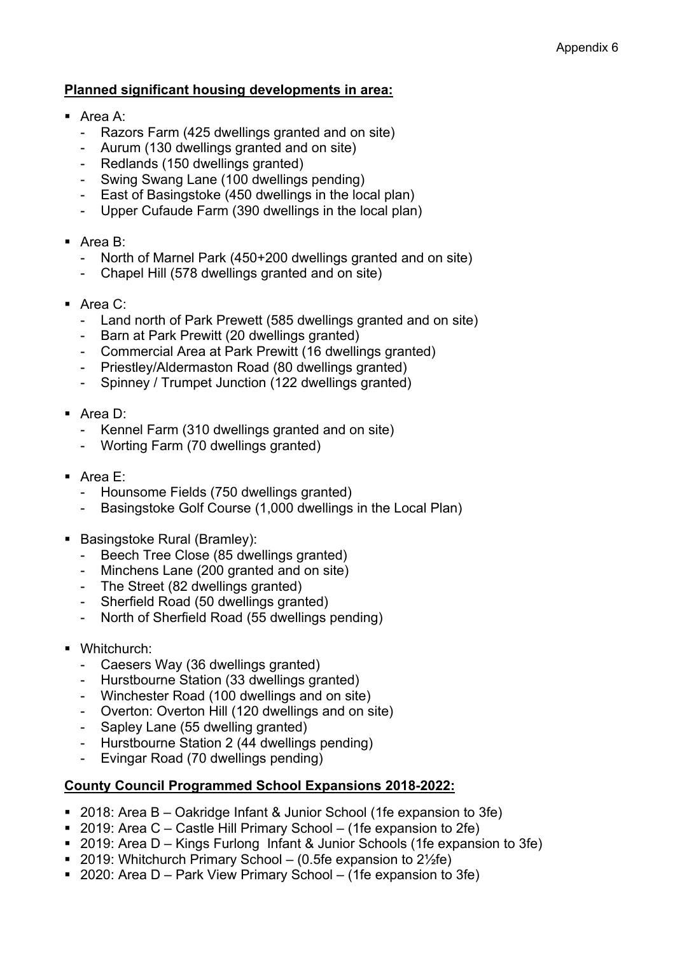# **Planned significant housing developments in area:**

- Area A:
	- Razors Farm (425 dwellings granted and on site)
	- Aurum (130 dwellings granted and on site)
	- Redlands (150 dwellings granted)
	- Swing Swang Lane (100 dwellings pending)
	- East of Basingstoke (450 dwellings in the local plan)
	- Upper Cufaude Farm (390 dwellings in the local plan)
- Area B:
	- North of Marnel Park (450+200 dwellings granted and on site)
	- Chapel Hill (578 dwellings granted and on site)
- Area C:
	- Land north of Park Prewett (585 dwellings granted and on site)
	- Barn at Park Prewitt (20 dwellings granted)
	- Commercial Area at Park Prewitt (16 dwellings granted)
	- Priestley/Aldermaston Road (80 dwellings granted)
	- Spinney / Trumpet Junction (122 dwellings granted)
- Area D:
	- Kennel Farm (310 dwellings granted and on site)
	- Worting Farm (70 dwellings granted)
- Area E:
	- Hounsome Fields (750 dwellings granted)
	- Basingstoke Golf Course (1,000 dwellings in the Local Plan)
- **Basingstoke Rural (Bramley):** 
	- Beech Tree Close (85 dwellings granted)
	- Minchens Lane (200 granted and on site)
	- The Street (82 dwellings granted)
	- Sherfield Road (50 dwellings granted)
	- North of Sherfield Road (55 dwellings pending)
- Whitchurch:
	- Caesers Way (36 dwellings granted)
	- Hurstbourne Station (33 dwellings granted)
	- Winchester Road (100 dwellings and on site)
	- Overton: Overton Hill (120 dwellings and on site)
	- Sapley Lane (55 dwelling granted)
	- Hurstbourne Station 2 (44 dwellings pending)
	- Evingar Road (70 dwellings pending)

# **County Council Programmed School Expansions 2018-2022:**

- 2018: Area B Oakridge Infant & Junior School (1fe expansion to 3fe)
- 2019: Area C Castle Hill Primary School (1fe expansion to 2fe)
- 2019: Area D Kings Furlong Infant & Junior Schools (1fe expansion to 3fe)
- 2019: Whitchurch Primary School (0.5fe expansion to  $2\frac{1}{2}$ fe)
- 2020: Area D Park View Primary School (1fe expansion to 3fe)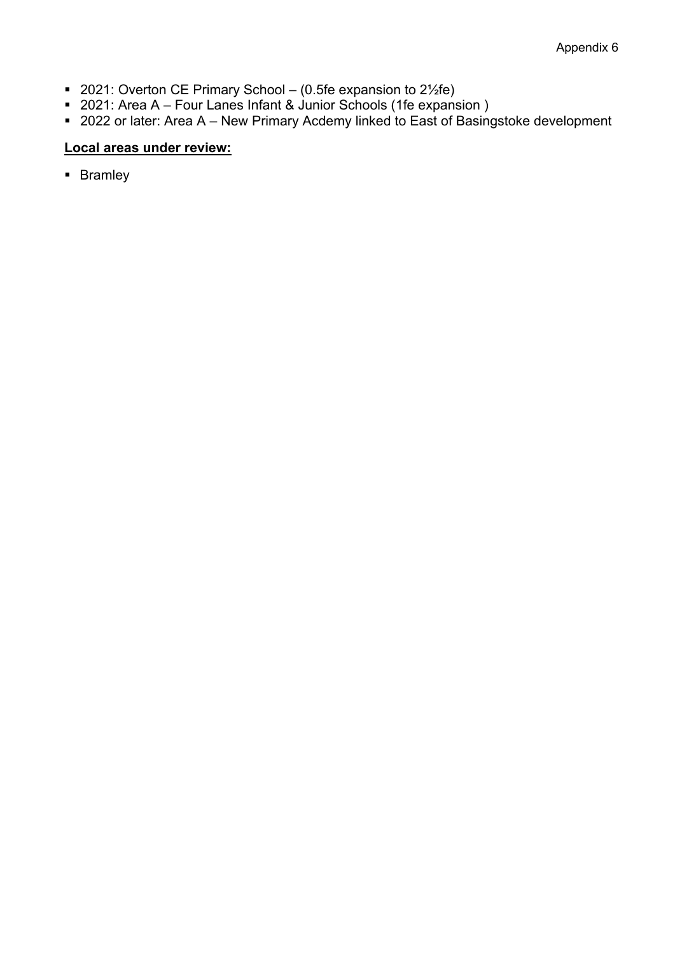- 2021: Overton CE Primary School (0.5fe expansion to 2½fe)
- 2021: Area A Four Lanes Infant & Junior Schools (1fe expansion)
- 2022 or later: Area A New Primary Acdemy linked to East of Basingstoke development

# **Local areas under review:**

**Bramley**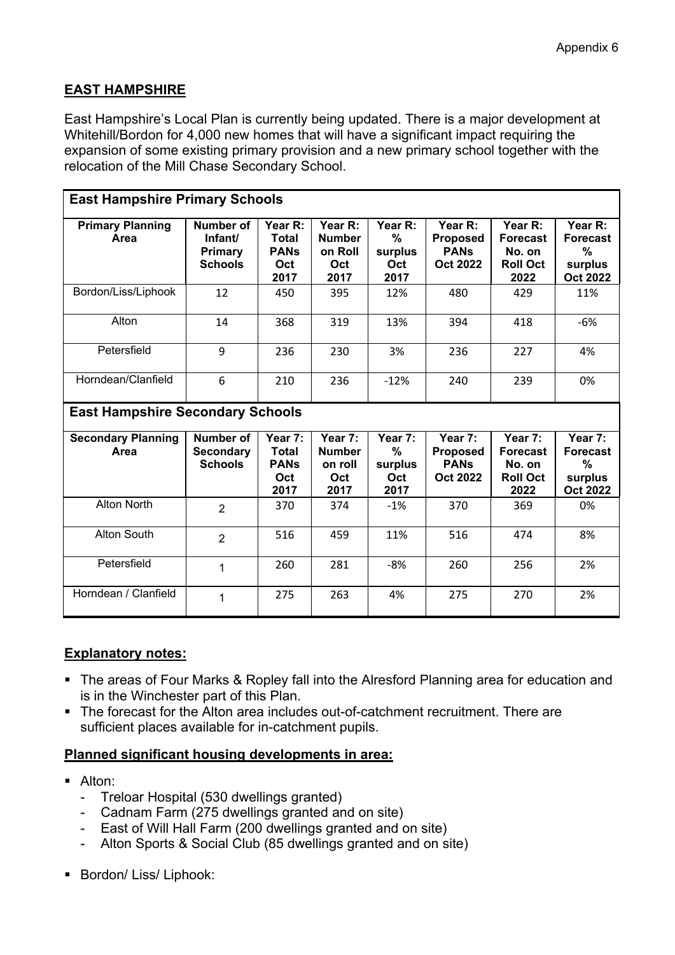# **EAST HAMPSHIRE**

East Hampshire's Local Plan is currently being updated. There is a major development at Whitehill/Bordon for 4,000 new homes that will have a significant impact requiring the expansion of some existing primary provision and a new primary school together with the relocation of the Mill Chase Secondary School.

| <b>East Hampshire Primary Schools</b> |                                                   |                                                       |                                                    |                                           |                                                              |                                                                 |                                                               |  |  |  |  |
|---------------------------------------|---------------------------------------------------|-------------------------------------------------------|----------------------------------------------------|-------------------------------------------|--------------------------------------------------------------|-----------------------------------------------------------------|---------------------------------------------------------------|--|--|--|--|
| <b>Primary Planning</b><br>Area       | Number of<br>Infant/<br>Primary<br><b>Schools</b> | Year R:<br><b>Total</b><br><b>PANs</b><br>Oct<br>2017 | Year R:<br><b>Number</b><br>on Roll<br>Oct<br>2017 | Year R:<br>%<br>surplus<br>Oct<br>2017    | Year R:<br>Proposed<br><b>PANS</b><br>Oct 2022               | Year R:<br><b>Forecast</b><br>No. on<br><b>Roll Oct</b><br>2022 | Year R:<br><b>Forecast</b><br>%<br>surplus<br><b>Oct 2022</b> |  |  |  |  |
| Bordon/Liss/Liphook                   | 12                                                | 450                                                   | 395                                                | 12%                                       | 480                                                          | 429                                                             | 11%                                                           |  |  |  |  |
| Alton                                 | 14                                                | 368                                                   | 319                                                | 13%                                       | 394                                                          | 418                                                             | $-6%$                                                         |  |  |  |  |
| Petersfield                           | 9                                                 | 236                                                   | 230                                                | 3%                                        | 236                                                          | 227                                                             | 4%                                                            |  |  |  |  |
| Horndean/Clanfield                    | 6                                                 | 210                                                   | 236                                                | $-12%$                                    | 240                                                          | 239                                                             | 0%                                                            |  |  |  |  |
|                                       | <b>East Hampshire Secondary Schools</b>           |                                                       |                                                    |                                           |                                                              |                                                                 |                                                               |  |  |  |  |
|                                       |                                                   |                                                       |                                                    |                                           |                                                              |                                                                 |                                                               |  |  |  |  |
| <b>Secondary Planning</b><br>Area     | Number of<br><b>Secondary</b><br><b>Schools</b>   | Year 7:<br><b>Total</b><br><b>PANs</b><br>Oct<br>2017 | Year 7:<br><b>Number</b><br>on roll<br>Oct<br>2017 | Year 7:<br>$\%$<br>surplus<br>Oct<br>2017 | Year 7:<br><b>Proposed</b><br><b>PANs</b><br><b>Oct 2022</b> | Year 7:<br><b>Forecast</b><br>No. on<br><b>Roll Oct</b><br>2022 | Year 7:<br><b>Forecast</b><br>%<br>surplus<br><b>Oct 2022</b> |  |  |  |  |
| <b>Alton North</b>                    | $\overline{2}$                                    | 370                                                   | 374                                                | $-1%$                                     | 370                                                          | 369                                                             | 0%                                                            |  |  |  |  |
| Alton South                           | $\overline{2}$                                    | 516                                                   | 459                                                | 11%                                       | 516                                                          | 474                                                             | 8%                                                            |  |  |  |  |
| Petersfield                           | 1                                                 | 260                                                   | 281                                                | $-8%$                                     | 260                                                          | 256                                                             | 2%                                                            |  |  |  |  |

# **Explanatory notes:**

- The areas of Four Marks & Ropley fall into the Alresford Planning area for education and is in the Winchester part of this Plan.
- The forecast for the Alton area includes out-of-catchment recruitment. There are sufficient places available for in-catchment pupils.

- Alton:
	- Treloar Hospital (530 dwellings granted)
	- Cadnam Farm (275 dwellings granted and on site)
	- East of Will Hall Farm (200 dwellings granted and on site)
	- Alton Sports & Social Club (85 dwellings granted and on site)
- **Bordon/Liss/Liphook:**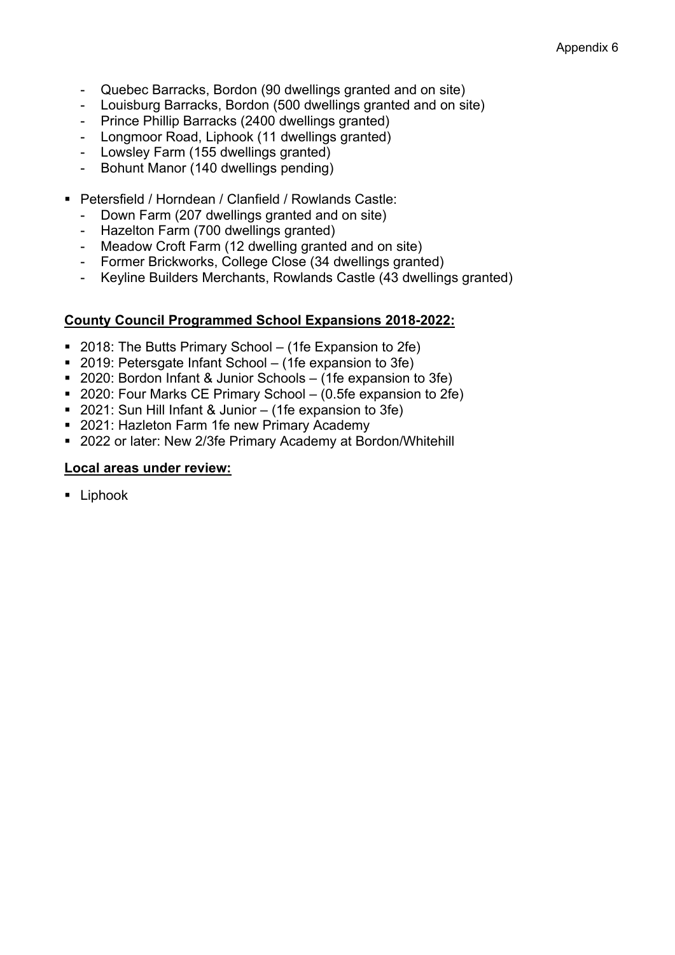- Quebec Barracks, Bordon (90 dwellings granted and on site)
- Louisburg Barracks, Bordon (500 dwellings granted and on site)
- Prince Phillip Barracks (2400 dwellings granted)
- Longmoor Road, Liphook (11 dwellings granted)
- Lowsley Farm (155 dwellings granted)
- Bohunt Manor (140 dwellings pending)
- Petersfield / Horndean / Clanfield / Rowlands Castle:
	- Down Farm (207 dwellings granted and on site)
	- Hazelton Farm (700 dwellings granted)
	- Meadow Croft Farm (12 dwelling granted and on site)
	- Former Brickworks, College Close (34 dwellings granted)
	- Keyline Builders Merchants, Rowlands Castle (43 dwellings granted)

### **County Council Programmed School Expansions 2018-2022:**

- 2018: The Butts Primary School (1fe Expansion to 2fe)
- 2019: Petersgate Infant School (1fe expansion to 3fe)
- 2020: Bordon Infant & Junior Schools (1fe expansion to 3fe)
- 2020: Four Marks CE Primary School (0.5fe expansion to 2fe)
- 2021: Sun Hill Infant & Junior (1fe expansion to 3fe)
- 2021: Hazleton Farm 1fe new Primary Academy
- 2022 or later: New 2/3fe Primary Academy at Bordon/Whitehill

#### **Local areas under review:**

**Liphook**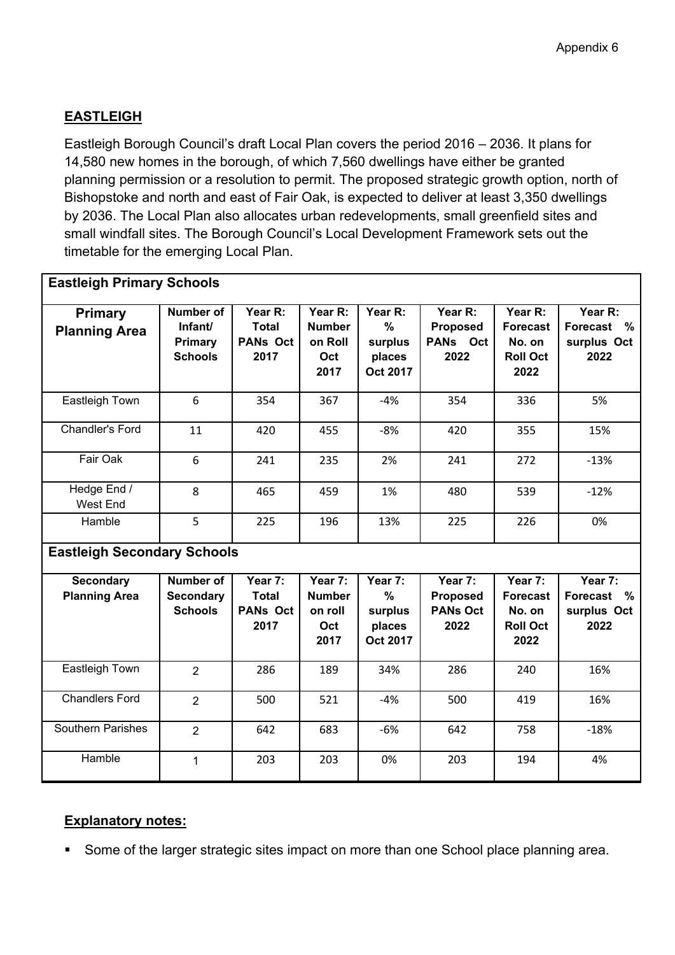# **EASTLEIGH**

Eastleigh Borough Council's draft Local Plan covers the period 2016 – 2036. It plans for 14,580 new homes in the borough, of which 7,560 dwellings have either be granted planning permission or a resolution to permit. The proposed strategic growth option, north of Bishopstoke and north and east of Fair Oak, is expected to deliver at least 3,350 dwellings by 2036. The Local Plan also allocates urban redevelopments, small greenfield sites and small windfall sites. The Borough Council's Local Development Framework sets out the timetable for the emerging Local Plan.

| <b>Eastleigh Primary Schools</b>         |                                                          |                                                    |                                                    |                                                           |                                                       |                                                                 |                                                           |
|------------------------------------------|----------------------------------------------------------|----------------------------------------------------|----------------------------------------------------|-----------------------------------------------------------|-------------------------------------------------------|-----------------------------------------------------------------|-----------------------------------------------------------|
| <b>Primary</b><br><b>Planning Area</b>   | <b>Number of</b><br>Infant/<br>Primary<br><b>Schools</b> | Year R:<br><b>Total</b><br><b>PANs Oct</b><br>2017 | Year R:<br><b>Number</b><br>on Roll<br>Oct<br>2017 | Year R:<br>$\frac{9}{6}$<br>surplus<br>places<br>Oct 2017 | Year R:<br><b>Proposed</b><br>PANs Oct<br>2022        | Year R:<br><b>Forecast</b><br>No. on<br><b>Roll Oct</b><br>2022 | Year R:<br><b>Forecast</b><br>$\%$<br>surplus Oct<br>2022 |
| Eastleigh Town                           | 6                                                        | 354                                                | 367                                                | $-4%$                                                     | 354                                                   | 336                                                             | 5%                                                        |
| Chandler's Ford                          | 11                                                       | 420                                                | 455                                                | $-8%$                                                     | 420                                                   | 355                                                             | 15%                                                       |
| Fair Oak                                 | 6                                                        | 241                                                | 235                                                | 2%                                                        | 241                                                   | 272                                                             | $-13%$                                                    |
| Hedge End /<br>West End                  | 8                                                        | 465                                                | 459                                                | 1%                                                        | 480                                                   | 539                                                             | $-12%$                                                    |
| Hamble                                   | 5                                                        | 225                                                | 196                                                | 13%                                                       | 225                                                   | 226                                                             | 0%                                                        |
| <b>Eastleigh Secondary Schools</b>       |                                                          |                                                    |                                                    |                                                           |                                                       |                                                                 |                                                           |
| <b>Secondary</b><br><b>Planning Area</b> | <b>Number of</b><br><b>Secondary</b><br><b>Schools</b>   | Year 7:<br><b>Total</b><br><b>PANs Oct</b><br>2017 | Year 7:<br><b>Number</b><br>on roll<br>Oct<br>2017 | Year 7:<br>$\frac{0}{0}$<br>surplus<br>places<br>Oct 2017 | Year 7:<br><b>Proposed</b><br><b>PANs Oct</b><br>2022 | Year 7:<br><b>Forecast</b><br>No. on<br><b>Roll Oct</b><br>2022 | Year 7:<br>Forecast %<br>surplus Oct<br>2022              |
| Eastleigh Town                           | $\overline{2}$                                           | 286                                                | 189                                                | 34%                                                       | 286                                                   | 240                                                             | 16%                                                       |
| <b>Chandlers Ford</b>                    | $\overline{2}$                                           | 500                                                | 521                                                | $-4%$                                                     | 500                                                   | 419                                                             | 16%                                                       |
| <b>Southern Parishes</b>                 | $\overline{2}$                                           | 642                                                | 683                                                | $-6%$                                                     | 642                                                   | 758                                                             | $-18%$                                                    |
| Hamble                                   | $\mathbf{1}$                                             | 203                                                | 203                                                | 0%                                                        | 203                                                   | 194                                                             | 4%                                                        |

# **Explanatory notes:**

Some of the larger strategic sites impact on more than one School place planning area.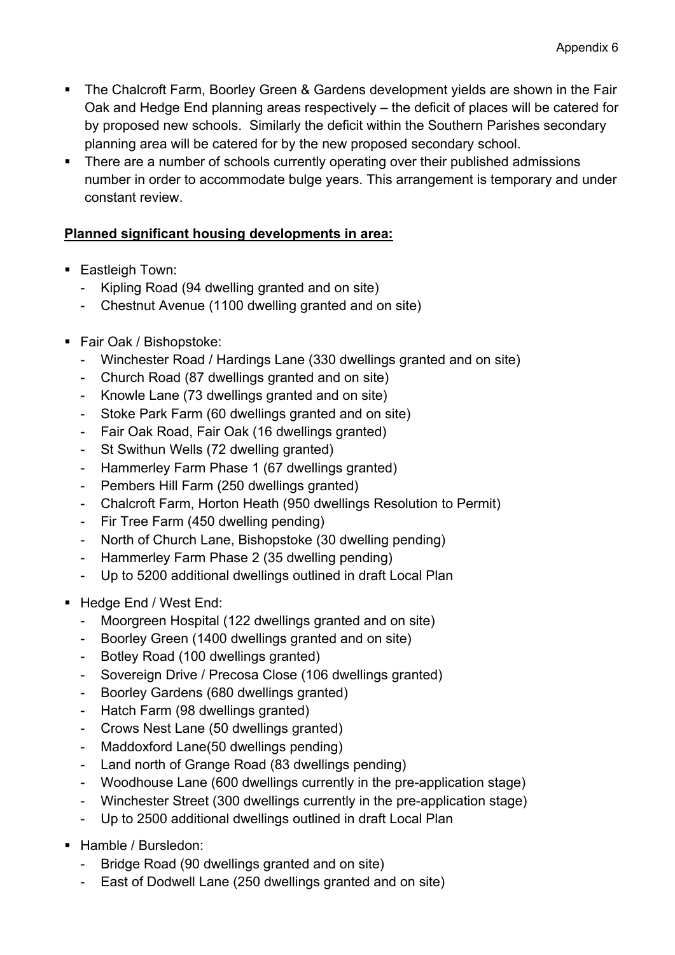- The Chalcroft Farm, Boorley Green & Gardens development yields are shown in the Fair Oak and Hedge End planning areas respectively – the deficit of places will be catered for by proposed new schools. Similarly the deficit within the Southern Parishes secondary planning area will be catered for by the new proposed secondary school.
- There are a number of schools currently operating over their published admissions number in order to accommodate bulge years. This arrangement is temporary and under constant review.

- **Eastleigh Town:** 
	- Kipling Road (94 dwelling granted and on site)
	- Chestnut Avenue (1100 dwelling granted and on site)
- Fair Oak / Bishopstoke:
	- Winchester Road / Hardings Lane (330 dwellings granted and on site)
	- Church Road (87 dwellings granted and on site)
	- Knowle Lane (73 dwellings granted and on site)
	- Stoke Park Farm (60 dwellings granted and on site)
	- Fair Oak Road, Fair Oak (16 dwellings granted)
	- St Swithun Wells (72 dwelling granted)
	- Hammerley Farm Phase 1 (67 dwellings granted)
	- Pembers Hill Farm (250 dwellings granted)
	- Chalcroft Farm, Horton Heath (950 dwellings Resolution to Permit)
	- Fir Tree Farm (450 dwelling pending)
	- North of Church Lane, Bishopstoke (30 dwelling pending)
	- Hammerley Farm Phase 2 (35 dwelling pending)
	- Up to 5200 additional dwellings outlined in draft Local Plan
- Hedge End / West End:
	- Moorgreen Hospital (122 dwellings granted and on site)
	- Boorley Green (1400 dwellings granted and on site)
	- Botley Road (100 dwellings granted)
	- Sovereign Drive / Precosa Close (106 dwellings granted)
	- Boorley Gardens (680 dwellings granted)
	- Hatch Farm (98 dwellings granted)
	- Crows Nest Lane (50 dwellings granted)
	- Maddoxford Lane(50 dwellings pending)
	- Land north of Grange Road (83 dwellings pending)
	- Woodhouse Lane (600 dwellings currently in the pre-application stage)
	- Winchester Street (300 dwellings currently in the pre-application stage)
	- Up to 2500 additional dwellings outlined in draft Local Plan
- Hamble / Bursledon:
	- Bridge Road (90 dwellings granted and on site)
	- East of Dodwell Lane (250 dwellings granted and on site)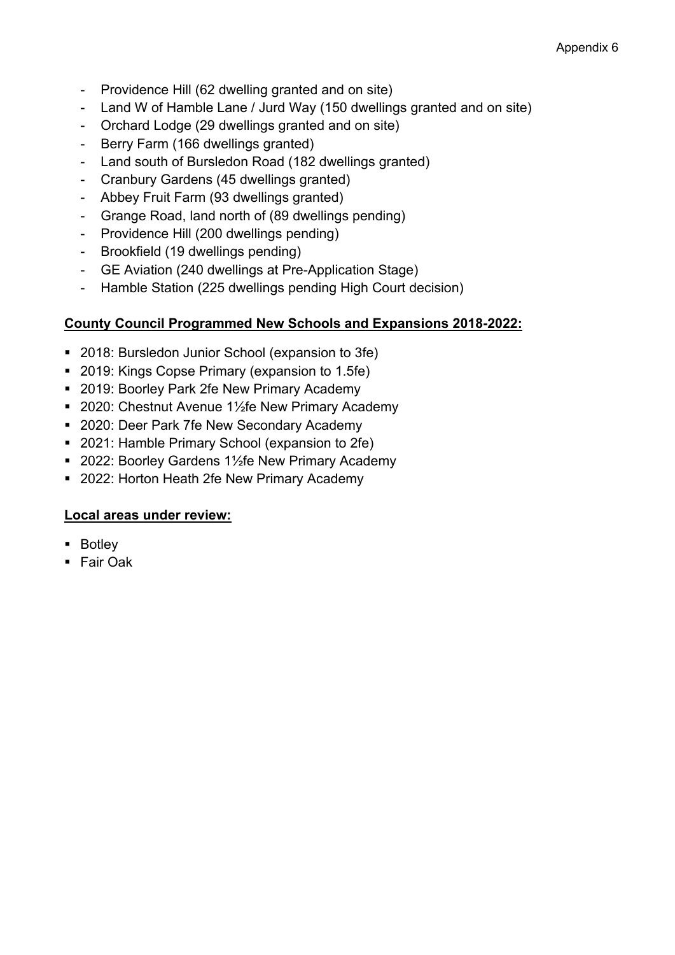- Providence Hill (62 dwelling granted and on site)
- Land W of Hamble Lane / Jurd Way (150 dwellings granted and on site)
- Orchard Lodge (29 dwellings granted and on site)
- Berry Farm (166 dwellings granted)
- Land south of Bursledon Road (182 dwellings granted)
- Cranbury Gardens (45 dwellings granted)
- Abbey Fruit Farm (93 dwellings granted)
- Grange Road, land north of (89 dwellings pending)
- Providence Hill (200 dwellings pending)
- Brookfield (19 dwellings pending)
- GE Aviation (240 dwellings at Pre-Application Stage)
- Hamble Station (225 dwellings pending High Court decision)

# **County Council Programmed New Schools and Expansions 2018-2022:**

- 2018: Bursledon Junior School (expansion to 3fe)
- 2019: Kings Copse Primary (expansion to 1.5fe)
- **2019: Boorley Park 2fe New Primary Academy**
- 2020: Chestnut Avenue 1½fe New Primary Academy
- 2020: Deer Park 7fe New Secondary Academy
- 2021: Hamble Primary School (expansion to 2fe)
- 2022: Boorley Gardens 1½fe New Primary Academy
- 2022: Horton Heath 2fe New Primary Academy

# **Local areas under review:**

- **Botley**
- Fair Oak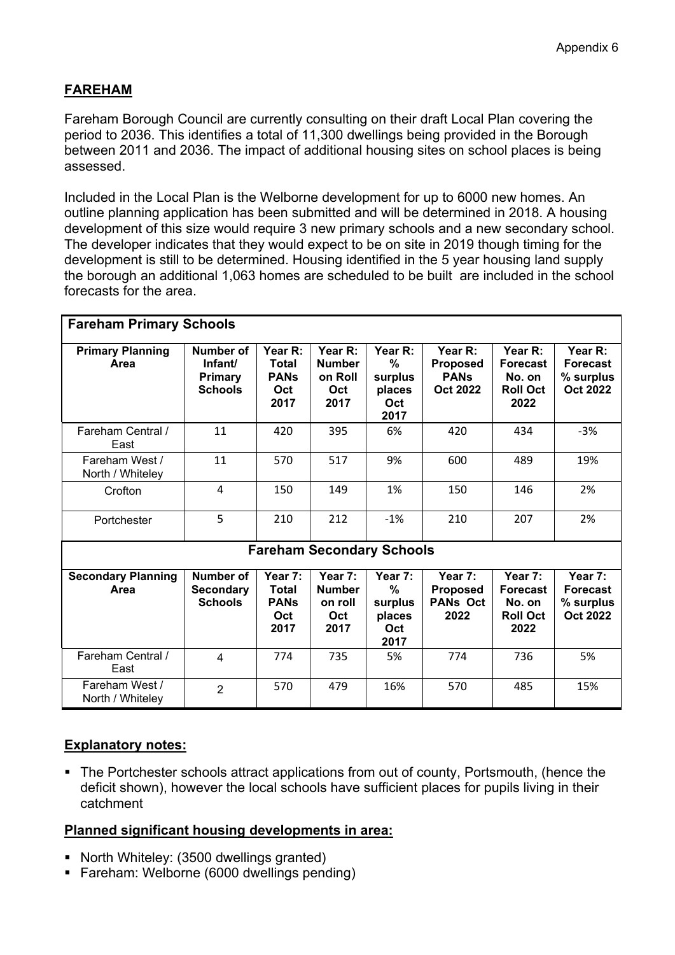# **FAREHAM**

Fareham Borough Council are currently consulting on their draft Local Plan covering the period to 2036. This identifies a total of 11,300 dwellings being provided in the Borough between 2011 and 2036. The impact of additional housing sites on school places is being assessed.

Included in the Local Plan is the Welborne development for up to 6000 new homes. An outline planning application has been submitted and will be determined in 2018. A housing development of this size would require 3 new primary schools and a new secondary school. The developer indicates that they would expect to be on site in 2019 though timing for the development is still to be determined. Housing identified in the 5 year housing land supply the borough an additional 1,063 homes are scheduled to be built are included in the school forecasts for the area.

| <b>Fareham Primary Schools</b>     |                                                          |                                                       |                                                    |                                                  |                                                       |                                                                 |                                                            |  |  |
|------------------------------------|----------------------------------------------------------|-------------------------------------------------------|----------------------------------------------------|--------------------------------------------------|-------------------------------------------------------|-----------------------------------------------------------------|------------------------------------------------------------|--|--|
| <b>Primary Planning</b><br>Area    | Number of<br>Infant/<br><b>Primary</b><br><b>Schools</b> | Year R:<br><b>Total</b><br><b>PANs</b><br>Oct<br>2017 | Year R:<br><b>Number</b><br>on Roll<br>Oct<br>2017 | Year R:<br>%<br>surplus<br>places<br>Oct<br>2017 | Year R:<br><b>Proposed</b><br><b>PANs</b><br>Oct 2022 | Year R:<br><b>Forecast</b><br>No. on<br><b>Roll Oct</b><br>2022 | Year R:<br><b>Forecast</b><br>% surplus<br><b>Oct 2022</b> |  |  |
| Fareham Central /<br>East          | 11                                                       | 420                                                   | 395                                                | 6%                                               | 420                                                   | 434                                                             | $-3%$                                                      |  |  |
| Fareham West /<br>North / Whiteley | 11                                                       | 570                                                   | 517                                                | 9%                                               | 600                                                   | 489                                                             | 19%                                                        |  |  |
| Crofton                            | 4                                                        | 150                                                   | 149                                                | 1%                                               | 150                                                   | 146                                                             | 2%                                                         |  |  |
| Portchester                        | 5                                                        | 210                                                   | 212                                                | $-1%$                                            | 210                                                   | 207                                                             | 2%                                                         |  |  |
|                                    |                                                          |                                                       | <b>Fareham Secondary Schools</b>                   |                                                  |                                                       |                                                                 |                                                            |  |  |
| <b>Secondary Planning</b><br>Area  | Number of<br><b>Secondary</b><br><b>Schools</b>          | Year 7:<br>Total<br><b>PANs</b><br>Oct<br>2017        | Year 7:<br><b>Number</b><br>on roll<br>Oct<br>2017 | Year 7:<br>%<br>surplus<br>places<br>Oct<br>2017 | Year 7:<br><b>Proposed</b><br><b>PANs Oct</b><br>2022 | Year 7:<br><b>Forecast</b><br>No. on<br><b>Roll Oct</b><br>2022 | Year 7:<br><b>Forecast</b><br>% surplus<br><b>Oct 2022</b> |  |  |
| Fareham Central /<br>East          | 4                                                        | 774                                                   | 735                                                | 5%                                               | 774                                                   | 736                                                             | 5%                                                         |  |  |
| Fareham West /<br>North / Whiteley | $\overline{2}$                                           | 570                                                   | 479                                                | 16%                                              | 570                                                   | 485                                                             | 15%                                                        |  |  |

# **Explanatory notes:**

 The Portchester schools attract applications from out of county, Portsmouth, (hence the deficit shown), however the local schools have sufficient places for pupils living in their catchment

- North Whiteley: (3500 dwellings granted)
- Fareham: Welborne (6000 dwellings pending)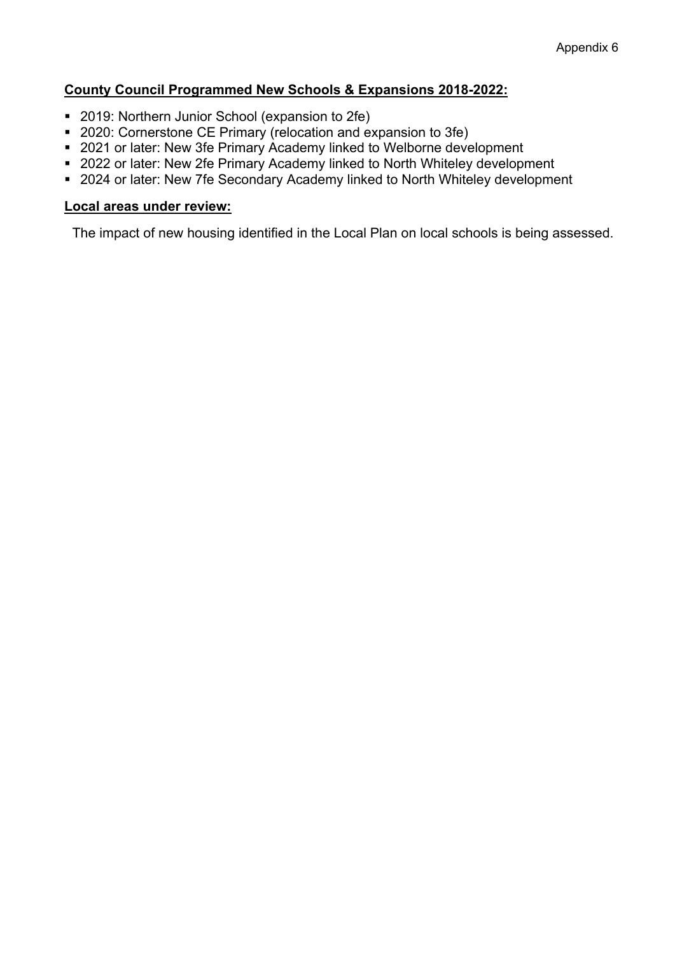### **County Council Programmed New Schools & Expansions 2018-2022:**

- 2019: Northern Junior School (expansion to 2fe)
- 2020: Cornerstone CE Primary (relocation and expansion to 3fe)
- 2021 or later: New 3fe Primary Academy linked to Welborne development
- 2022 or later: New 2fe Primary Academy linked to North Whiteley development
- 2024 or later: New 7fe Secondary Academy linked to North Whiteley development

#### **Local areas under review:**

The impact of new housing identified in the Local Plan on local schools is being assessed.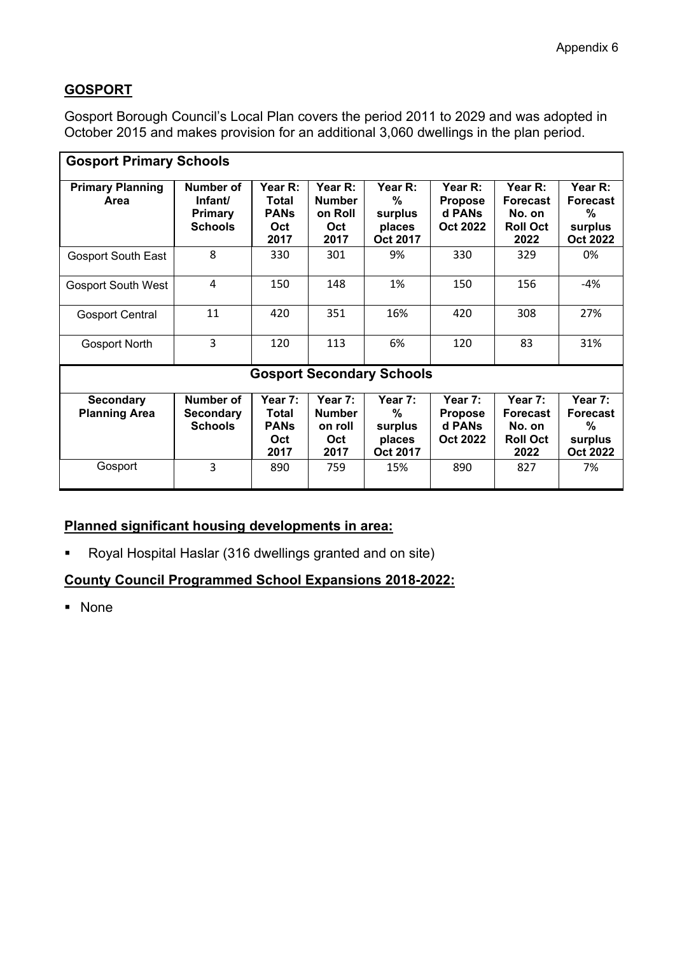# **GOSPORT**

Gosport Borough Council's Local Plan covers the period 2011 to 2029 and was adopted in October 2015 and makes provision for an additional 3,060 dwellings in the plan period.

| <b>Gosport Primary Schools</b>           |                                                          |                                                |                                                    |                                               |                                                        |                                                                 |                                                               |  |  |
|------------------------------------------|----------------------------------------------------------|------------------------------------------------|----------------------------------------------------|-----------------------------------------------|--------------------------------------------------------|-----------------------------------------------------------------|---------------------------------------------------------------|--|--|
| <b>Primary Planning</b><br>Area          | Number of<br>Infant/<br><b>Primary</b><br><b>Schools</b> | Year R:<br>Total<br><b>PANs</b><br>Oct<br>2017 | Year R:<br><b>Number</b><br>on Roll<br>Oct<br>2017 | Year R:<br>%<br>surplus<br>places<br>Oct 2017 | Year R:<br><b>Propose</b><br>d PANs<br><b>Oct 2022</b> | Year R:<br><b>Forecast</b><br>No. on<br><b>Roll Oct</b><br>2022 | Year R:<br><b>Forecast</b><br>%<br>surplus<br><b>Oct 2022</b> |  |  |
| <b>Gosport South East</b>                | 8                                                        | 330                                            | 301                                                | 9%                                            | 330                                                    | 329                                                             | 0%                                                            |  |  |
| <b>Gosport South West</b>                | $\overline{4}$                                           | 150                                            | 148                                                | 1%                                            | 150                                                    | 156                                                             | -4%                                                           |  |  |
| <b>Gosport Central</b>                   | 11                                                       | 420                                            | 351                                                | 16%                                           | 420                                                    | 308                                                             | 27%                                                           |  |  |
| <b>Gosport North</b>                     | 3                                                        | 120                                            | 113                                                | 6%                                            | 120                                                    | 83                                                              | 31%                                                           |  |  |
|                                          |                                                          |                                                |                                                    | <b>Gosport Secondary Schools</b>              |                                                        |                                                                 |                                                               |  |  |
| <b>Secondary</b><br><b>Planning Area</b> | Number of<br><b>Secondary</b><br><b>Schools</b>          | Year 7:<br>Total<br><b>PANS</b><br>Oct<br>2017 | Year 7:<br><b>Number</b><br>on roll<br>Oct<br>2017 | Year 7:<br>%<br>surplus<br>places<br>Oct 2017 | Year 7:<br><b>Propose</b><br>d PANs<br><b>Oct 2022</b> | Year 7:<br><b>Forecast</b><br>No. on<br><b>Roll Oct</b><br>2022 | Year 7:<br><b>Forecast</b><br>%<br>surplus<br><b>Oct 2022</b> |  |  |
| Gosport                                  | 3                                                        | 890                                            | 759                                                | 15%                                           | 890                                                    | 827                                                             | 7%                                                            |  |  |

# **Planned significant housing developments in area:**

Royal Hospital Haslar (316 dwellings granted and on site)

# **County Council Programmed School Expansions 2018-2022:**

• None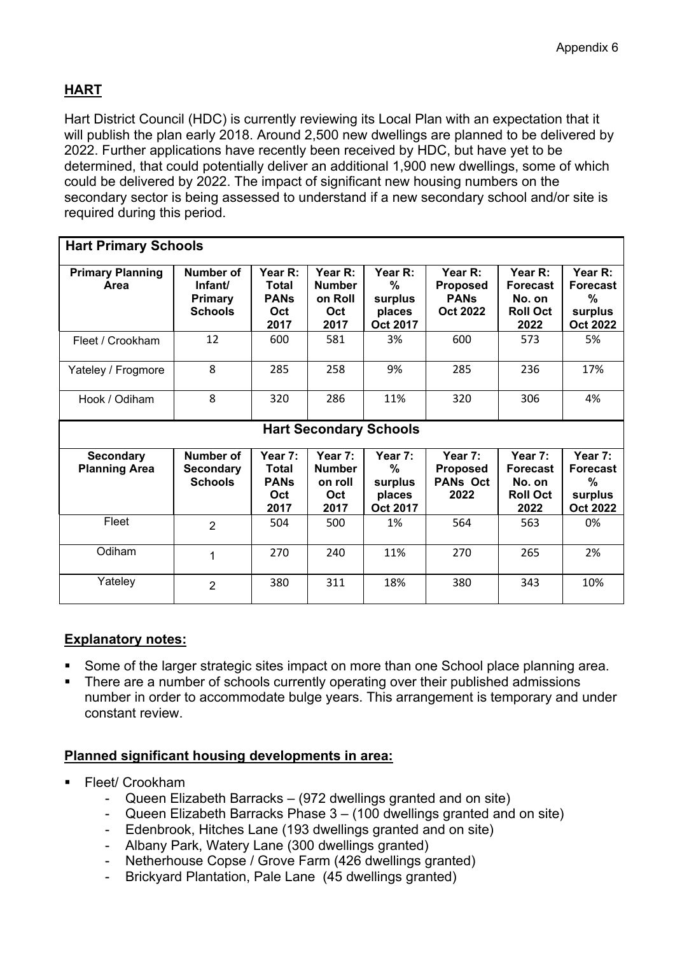# **HART**

Hart District Council (HDC) is currently reviewing its Local Plan with an expectation that it will publish the plan early 2018. Around 2,500 new dwellings are planned to be delivered by 2022. Further applications have recently been received by HDC, but have yet to be determined, that could potentially deliver an additional 1,900 new dwellings, some of which could be delivered by 2022. The impact of significant new housing numbers on the secondary sector is being assessed to understand if a new secondary school and/or site is required during this period.

| <b>Hart Primary Schools</b>              |                                                          |                                                |                                                    |                                               |                                                                 |                                                                 |                                                               |  |  |  |
|------------------------------------------|----------------------------------------------------------|------------------------------------------------|----------------------------------------------------|-----------------------------------------------|-----------------------------------------------------------------|-----------------------------------------------------------------|---------------------------------------------------------------|--|--|--|
| <b>Primary Planning</b><br>Area          | Number of<br>Infant/<br><b>Primary</b><br><b>Schools</b> | Year R:<br>Total<br><b>PANs</b><br>Oct<br>2017 | Year R:<br><b>Number</b><br>on Roll<br>Oct<br>2017 | Year R:<br>%<br>surplus<br>places<br>Oct 2017 | Year $R$ :<br><b>Proposed</b><br><b>PANs</b><br><b>Oct 2022</b> | Year R:<br><b>Forecast</b><br>No. on<br><b>Roll Oct</b><br>2022 | Year R:<br><b>Forecast</b><br>%<br>surplus<br><b>Oct 2022</b> |  |  |  |
| Fleet / Crookham                         | 12                                                       | 600                                            | 581                                                | 3%                                            | 600                                                             | 573                                                             | 5%                                                            |  |  |  |
| Yateley / Frogmore                       | 8                                                        | 285                                            | 258                                                | 9%                                            | 285                                                             | 236                                                             | 17%                                                           |  |  |  |
| Hook / Odiham                            | 8                                                        | 320                                            | 286                                                | 11%                                           | 320                                                             | 306                                                             | 4%                                                            |  |  |  |
|                                          |                                                          |                                                |                                                    | <b>Hart Secondary Schools</b>                 |                                                                 |                                                                 |                                                               |  |  |  |
| <b>Secondary</b><br><b>Planning Area</b> | Number of<br><b>Secondary</b><br><b>Schools</b>          | Year 7:<br>Total<br><b>PANs</b><br>Oct<br>2017 | Year 7:<br><b>Number</b><br>on roll<br>Oct<br>2017 | Year 7:<br>%<br>surplus<br>places<br>Oct 2017 | Year 7:<br><b>Proposed</b><br><b>PANs Oct</b><br>2022           | Year 7:<br><b>Forecast</b><br>No. on<br><b>Roll Oct</b><br>2022 | Year 7:<br><b>Forecast</b><br>%<br>surplus<br><b>Oct 2022</b> |  |  |  |
| Fleet                                    | $\overline{2}$                                           | 504                                            | 500                                                | 1%                                            | 564                                                             | 563                                                             | 0%                                                            |  |  |  |
| Odiham                                   | 1                                                        | 270                                            | 240                                                | 11%                                           | 270                                                             | 265                                                             | 2%                                                            |  |  |  |
| Yateley                                  | 2                                                        | 380                                            | 311                                                | 18%                                           | 380                                                             | 343                                                             | 10%                                                           |  |  |  |

# **Explanatory notes:**

- Some of the larger strategic sites impact on more than one School place planning area.
- There are a number of schools currently operating over their published admissions number in order to accommodate bulge years. This arrangement is temporary and under constant review.

- **Fleet/ Crookham** 
	- Queen Elizabeth Barracks (972 dwellings granted and on site)
	- Queen Elizabeth Barracks Phase 3 (100 dwellings granted and on site)
	- Edenbrook, Hitches Lane (193 dwellings granted and on site)
	- Albany Park, Watery Lane (300 dwellings granted)
	- Netherhouse Copse / Grove Farm (426 dwellings granted)
	- Brickyard Plantation, Pale Lane (45 dwellings granted)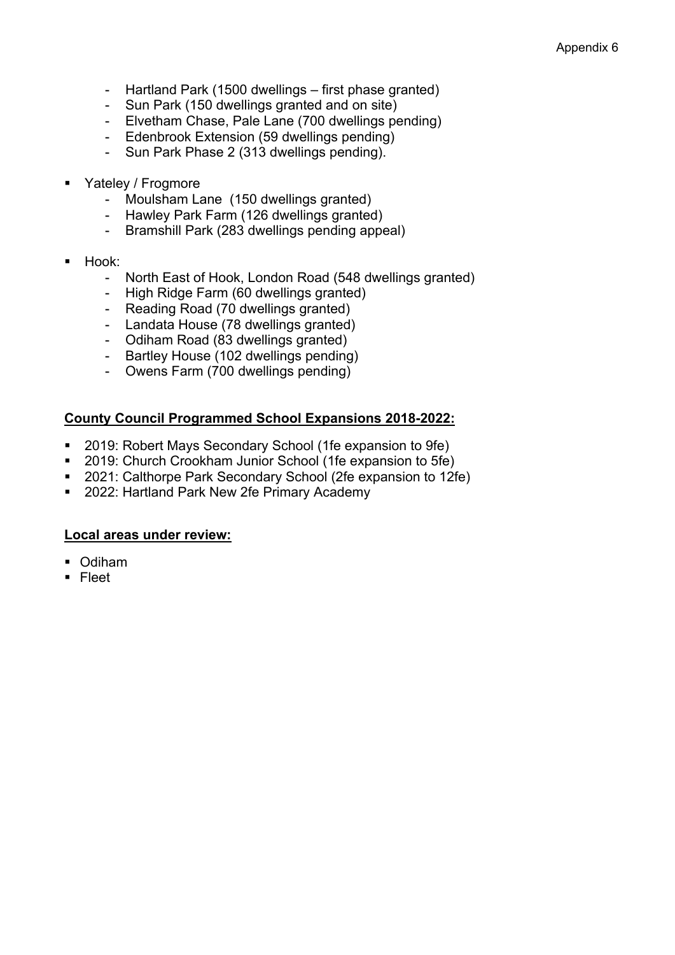- Hartland Park (1500 dwellings first phase granted)
- Sun Park (150 dwellings granted and on site)
- Elvetham Chase, Pale Lane (700 dwellings pending)
- Edenbrook Extension (59 dwellings pending)
- Sun Park Phase 2 (313 dwellings pending).
- Yateley / Frogmore
	- Moulsham Lane (150 dwellings granted)
	- Hawley Park Farm (126 dwellings granted)
	- Bramshill Park (283 dwellings pending appeal)
- Hook:
	- North East of Hook, London Road (548 dwellings granted)
	- High Ridge Farm (60 dwellings granted)
	- Reading Road (70 dwellings granted)
	- Landata House (78 dwellings granted)
	- Odiham Road (83 dwellings granted)
	- Bartley House (102 dwellings pending)
	- Owens Farm (700 dwellings pending)

### **County Council Programmed School Expansions 2018-2022:**

- 2019: Robert Mays Secondary School (1fe expansion to 9fe)
- 2019: Church Crookham Junior School (1fe expansion to 5fe)
- 2021: Calthorpe Park Secondary School (2fe expansion to 12fe)
- 2022: Hartland Park New 2fe Primary Academy

#### **Local areas under review:**

- Odiham
- $\blacksquare$  Fleet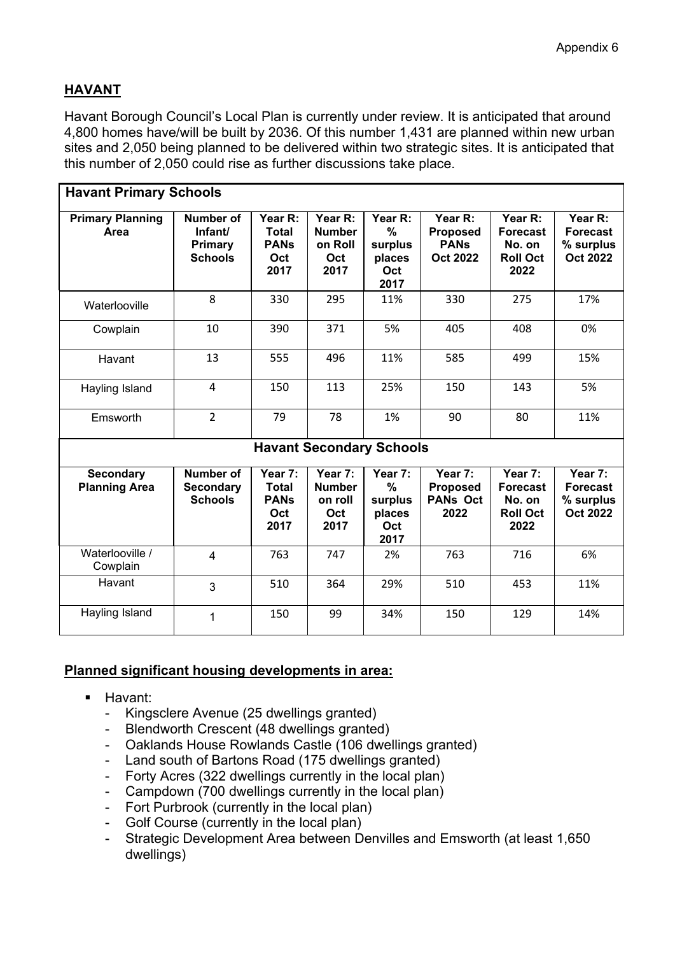# **HAVANT**

Havant Borough Council's Local Plan is currently under review. It is anticipated that around 4,800 homes have/will be built by 2036. Of this number 1,431 are planned within new urban sites and 2,050 being planned to be delivered within two strategic sites. It is anticipated that this number of 2,050 could rise as further discussions take place.

| <b>Havant Primary Schools</b>            |                                                          |                                                       |                                                    |                                                  |                                                              |                                                                 |                                                            |
|------------------------------------------|----------------------------------------------------------|-------------------------------------------------------|----------------------------------------------------|--------------------------------------------------|--------------------------------------------------------------|-----------------------------------------------------------------|------------------------------------------------------------|
| <b>Primary Planning</b><br>Area          | Number of<br>Infant/<br><b>Primary</b><br><b>Schools</b> | Year R:<br><b>Total</b><br><b>PANs</b><br>Oct<br>2017 | Year R:<br><b>Number</b><br>on Roll<br>Oct<br>2017 | Year R:<br>%<br>surplus<br>places<br>Oct<br>2017 | Year R:<br><b>Proposed</b><br><b>PANs</b><br><b>Oct 2022</b> | Year R:<br><b>Forecast</b><br>No. on<br><b>Roll Oct</b><br>2022 | Year R:<br><b>Forecast</b><br>% surplus<br><b>Oct 2022</b> |
| Waterlooville                            | 8                                                        | 330                                                   | 295                                                | 11%                                              | 330                                                          | 275                                                             | 17%                                                        |
| Cowplain                                 | 10                                                       | 390                                                   | 371                                                | 5%                                               | 405                                                          | 408                                                             | 0%                                                         |
| Havant                                   | 13                                                       | 555                                                   | 496                                                | 11%                                              | 585                                                          | 499                                                             | 15%                                                        |
| Hayling Island                           | 4                                                        | 150                                                   | 113                                                | 25%                                              | 150                                                          | 143                                                             | 5%                                                         |
| Emsworth                                 | $\overline{2}$                                           | 79                                                    | 78                                                 | 1%                                               | 90                                                           | 80                                                              | 11%                                                        |
|                                          |                                                          |                                                       | <b>Havant Secondary Schools</b>                    |                                                  |                                                              |                                                                 |                                                            |
| <b>Secondary</b><br><b>Planning Area</b> | <b>Number of</b><br><b>Secondary</b><br><b>Schools</b>   | Year 7:<br><b>Total</b><br><b>PANS</b><br>Oct<br>2017 | Year 7:<br><b>Number</b><br>on roll<br>Oct<br>2017 | Year 7:<br>%<br>surplus<br>places<br>Oct<br>2017 | Year 7:<br><b>Proposed</b><br><b>PANs Oct</b><br>2022        | Year 7:<br><b>Forecast</b><br>No. on<br><b>Roll Oct</b><br>2022 | Year 7:<br><b>Forecast</b><br>% surplus<br><b>Oct 2022</b> |
| Waterlooville /<br>Cowplain              | $\overline{4}$                                           | 763                                                   | 747                                                | 2%                                               | 763                                                          | 716                                                             | 6%                                                         |
| Havant                                   | 3                                                        | 510                                                   | 364                                                | 29%                                              | 510                                                          | 453                                                             | 11%                                                        |
| Hayling Island                           | 1                                                        | 150                                                   | 99                                                 | 34%                                              | 150                                                          | 129                                                             | 14%                                                        |

- **Havant:** 
	- Kingsclere Avenue (25 dwellings granted)
	- Blendworth Crescent (48 dwellings granted)
	- Oaklands House Rowlands Castle (106 dwellings granted)
	- Land south of Bartons Road (175 dwellings granted)
	- Forty Acres (322 dwellings currently in the local plan)
	- Campdown (700 dwellings currently in the local plan)
	- Fort Purbrook (currently in the local plan)
	- Golf Course (currently in the local plan)
	- Strategic Development Area between Denvilles and Emsworth (at least 1,650 dwellings)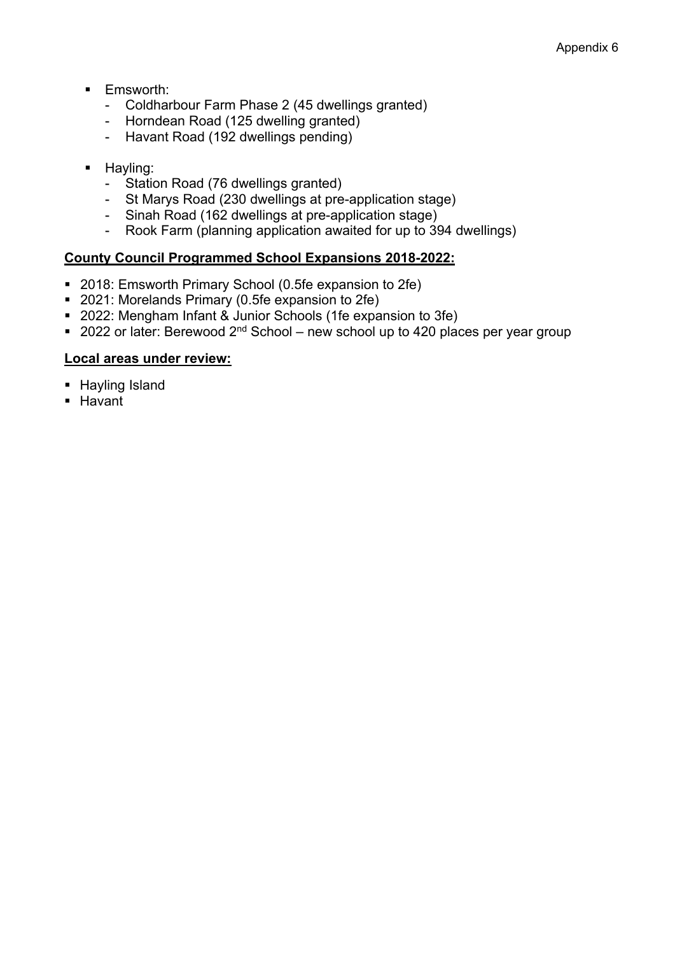- **Emsworth:** 
	- Coldharbour Farm Phase 2 (45 dwellings granted)
	- Horndean Road (125 dwelling granted)
	- Havant Road (192 dwellings pending)
- **Hayling:** 
	- Station Road (76 dwellings granted)
	- St Marys Road (230 dwellings at pre-application stage)
	- Sinah Road (162 dwellings at pre-application stage)
	- Rook Farm (planning application awaited for up to 394 dwellings)

# **County Council Programmed School Expansions 2018-2022:**

- 2018: Emsworth Primary School (0.5fe expansion to 2fe)
- 2021: Morelands Primary (0.5fe expansion to 2fe)
- 2022: Mengham Infant & Junior Schools (1fe expansion to 3fe)
- $\blacksquare$  2022 or later: Berewood 2<sup>nd</sup> School new school up to 420 places per year group

# **Local areas under review:**

- **Hayling Island**
- **Havant**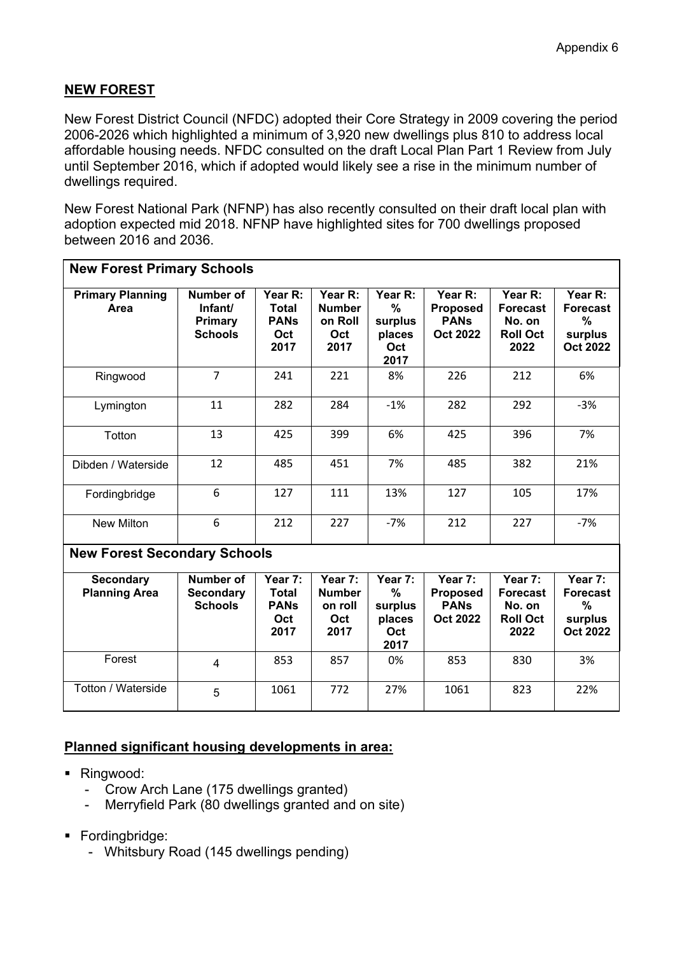# **NEW FOREST**

New Forest District Council (NFDC) adopted their Core Strategy in 2009 covering the period 2006-2026 which highlighted a minimum of 3,920 new dwellings plus 810 to address local affordable housing needs. NFDC consulted on the draft Local Plan Part 1 Review from July until September 2016, which if adopted would likely see a rise in the minimum number of dwellings required.

New Forest National Park (NFNP) has also recently consulted on their draft local plan with adoption expected mid 2018. NFNP have highlighted sites for 700 dwellings proposed between 2016 and 2036.

| <b>New Forest Primary Schools</b>        |                                                        |                                                       |                                                    |                                                              |                                                              |                                                                 |                                                               |  |  |
|------------------------------------------|--------------------------------------------------------|-------------------------------------------------------|----------------------------------------------------|--------------------------------------------------------------|--------------------------------------------------------------|-----------------------------------------------------------------|---------------------------------------------------------------|--|--|
| <b>Primary Planning</b><br>Area          | Number of<br>Infant/<br>Primary<br><b>Schools</b>      | Year R:<br><b>Total</b><br><b>PANs</b><br>Oct<br>2017 | Year R:<br><b>Number</b><br>on Roll<br>Oct<br>2017 | Year R:<br>$\frac{0}{0}$<br>surplus<br>places<br>Oct<br>2017 | Year R:<br><b>Proposed</b><br><b>PANS</b><br><b>Oct 2022</b> | Year R:<br><b>Forecast</b><br>No. on<br><b>Roll Oct</b><br>2022 | Year R:<br><b>Forecast</b><br>%<br>surplus<br><b>Oct 2022</b> |  |  |
| Ringwood                                 | $\overline{7}$                                         | 241                                                   | 221                                                | 8%                                                           | 226                                                          | 212                                                             | 6%                                                            |  |  |
| Lymington                                | 11                                                     | 282                                                   | 284                                                | $-1%$                                                        | 282                                                          | 292                                                             | $-3%$                                                         |  |  |
| Totton                                   | 13                                                     | 425                                                   | 399                                                | 6%                                                           | 425                                                          | 396                                                             | 7%                                                            |  |  |
| Dibden / Waterside                       | 12                                                     | 485                                                   | 451                                                | 7%                                                           | 485                                                          | 382                                                             | 21%                                                           |  |  |
| Fordingbridge                            | 6                                                      | 127                                                   | 111                                                | 13%                                                          | 127                                                          | 105                                                             | 17%                                                           |  |  |
| <b>New Milton</b>                        | 6                                                      | 212                                                   | 227                                                | $-7%$                                                        | 212                                                          | 227                                                             | $-7%$                                                         |  |  |
| <b>New Forest Secondary Schools</b>      |                                                        |                                                       |                                                    |                                                              |                                                              |                                                                 |                                                               |  |  |
| <b>Secondary</b><br><b>Planning Area</b> | <b>Number of</b><br><b>Secondary</b><br><b>Schools</b> | Year 7:<br><b>Total</b><br><b>PANs</b><br>Oct<br>2017 | Year 7:<br><b>Number</b><br>on roll<br>Oct<br>2017 | Year 7:<br>$\%$<br>surplus<br>places<br>Oct<br>2017          | Year 7:<br><b>Proposed</b><br><b>PANS</b><br><b>Oct 2022</b> | Year 7:<br><b>Forecast</b><br>No. on<br><b>Roll Oct</b><br>2022 | Year 7:<br><b>Forecast</b><br>%<br>surplus<br><b>Oct 2022</b> |  |  |
| Forest                                   | 4                                                      | 853                                                   | 857                                                | 0%                                                           | 853                                                          | 830                                                             | 3%                                                            |  |  |
| Totton / Waterside                       | 5                                                      | 1061                                                  | 772                                                | 27%                                                          | 1061                                                         | 823                                                             | 22%                                                           |  |  |

- Ringwood:
	- Crow Arch Lane (175 dwellings granted)
	- Merryfield Park (80 dwellings granted and on site)
- Fordingbridge:
	- Whitsbury Road (145 dwellings pending)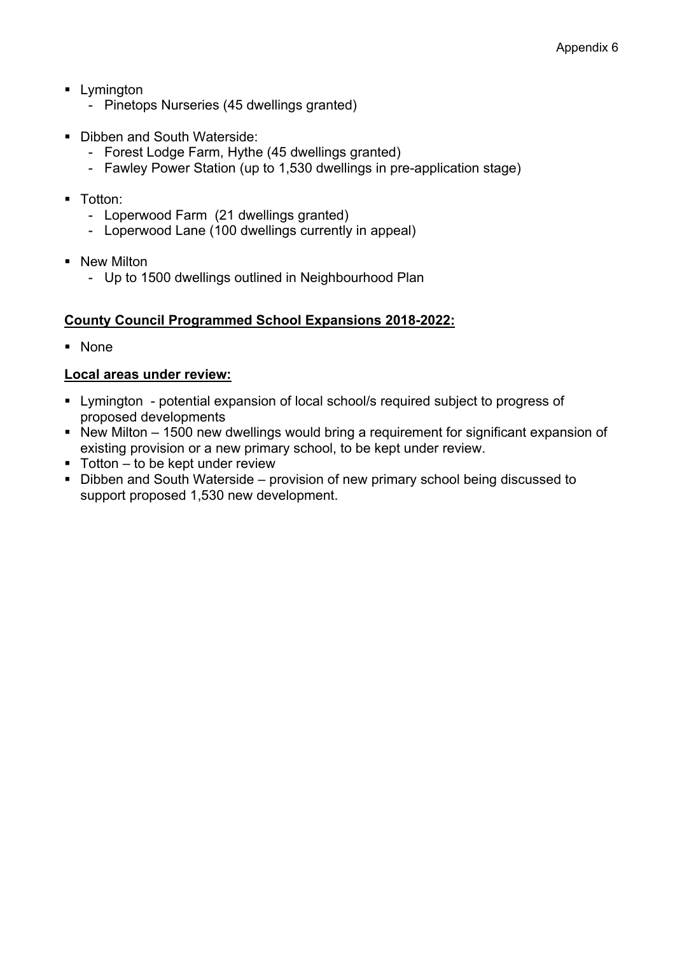- **Lymington** 
	- Pinetops Nurseries (45 dwellings granted)
- Dibben and South Waterside:
	- Forest Lodge Farm, Hythe (45 dwellings granted)
	- Fawley Power Station (up to 1,530 dwellings in pre-application stage)
- **Totton:** 
	- Loperwood Farm (21 dwellings granted)
	- Loperwood Lane (100 dwellings currently in appeal)
- **New Milton** 
	- Up to 1500 dwellings outlined in Neighbourhood Plan

### **County Council Programmed School Expansions 2018-2022:**

None

#### **Local areas under review:**

- Lymington potential expansion of local school/s required subject to progress of proposed developments
- New Milton 1500 new dwellings would bring a requirement for significant expansion of existing provision or a new primary school, to be kept under review.
- $\blacksquare$  Totton to be kept under review
- Dibben and South Waterside provision of new primary school being discussed to support proposed 1,530 new development.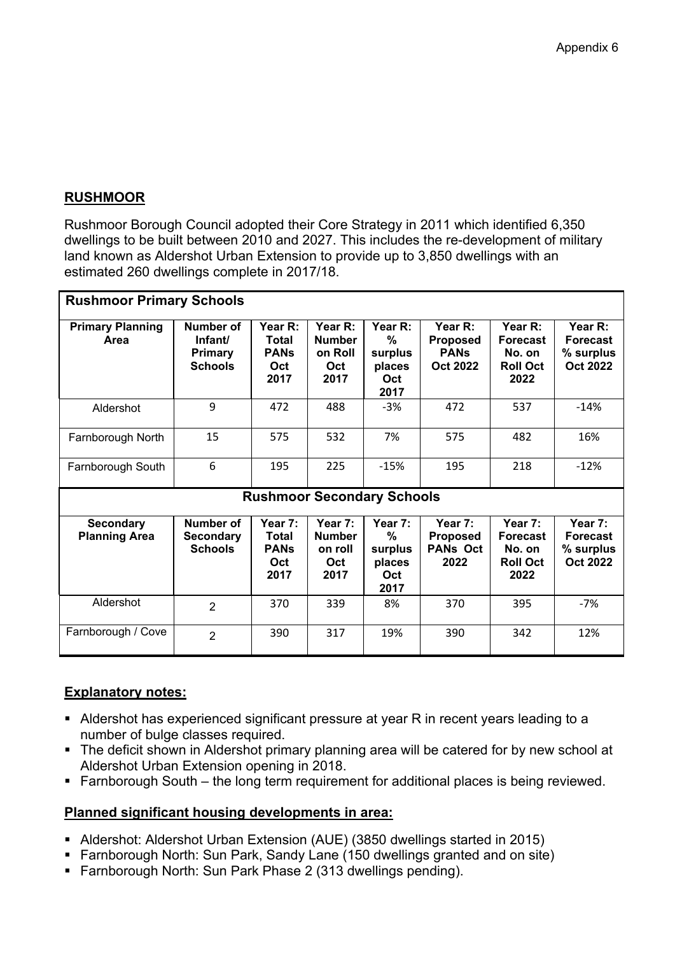### **RUSHMOOR**

Rushmoor Borough Council adopted their Core Strategy in 2011 which identified 6,350 dwellings to be built between 2010 and 2027. This includes the re-development of military land known as Aldershot Urban Extension to provide up to 3,850 dwellings with an estimated 260 dwellings complete in 2017/18.

| <b>Rushmoor Primary Schools</b>          |                                                                 |                                                |                                                    |                                                  |                                                       |                                                                 |                                                            |  |  |
|------------------------------------------|-----------------------------------------------------------------|------------------------------------------------|----------------------------------------------------|--------------------------------------------------|-------------------------------------------------------|-----------------------------------------------------------------|------------------------------------------------------------|--|--|
| <b>Primary Planning</b><br>Area          | <b>Number of</b><br>Infant/<br><b>Primary</b><br><b>Schools</b> | Year R:<br>Total<br><b>PANs</b><br>Oct<br>2017 | Year R:<br><b>Number</b><br>on Roll<br>Oct<br>2017 | Year R:<br>%<br>surplus<br>places<br>Oct<br>2017 | Year R:<br>Proposed<br><b>PANs</b><br><b>Oct 2022</b> | Year R:<br><b>Forecast</b><br>No. on<br><b>Roll Oct</b><br>2022 | Year R:<br><b>Forecast</b><br>% surplus<br><b>Oct 2022</b> |  |  |
| Aldershot                                | 9                                                               | 472                                            | 488                                                | $-3%$                                            | 472                                                   | 537                                                             | $-14%$                                                     |  |  |
| Farnborough North                        | 15                                                              | 575                                            | 532                                                | 7%                                               | 575                                                   | 482                                                             | 16%                                                        |  |  |
| Farnborough South                        | 6                                                               | 195                                            | 225                                                | $-15%$                                           | 195                                                   | 218                                                             | $-12%$                                                     |  |  |
|                                          |                                                                 |                                                | <b>Rushmoor Secondary Schools</b>                  |                                                  |                                                       |                                                                 |                                                            |  |  |
| <b>Secondary</b><br><b>Planning Area</b> | Number of<br><b>Secondary</b><br><b>Schools</b>                 | Year 7:<br>Total<br><b>PANs</b><br>Oct<br>2017 | Year 7:<br><b>Number</b><br>on roll<br>Oct<br>2017 | Year 7:<br>%<br>surplus<br>places<br>Oct<br>2017 | Year 7:<br>Proposed<br><b>PANs Oct</b><br>2022        | Year 7:<br><b>Forecast</b><br>No. on<br><b>Roll Oct</b><br>2022 | Year 7:<br><b>Forecast</b><br>% surplus<br><b>Oct 2022</b> |  |  |
| Aldershot                                | $\overline{2}$                                                  | 370                                            | 339                                                | 8%                                               | 370                                                   | 395                                                             | $-7%$                                                      |  |  |
| Farnborough / Cove                       | $\overline{2}$                                                  | 390                                            | 317                                                | 19%                                              | 390                                                   | 342                                                             | 12%                                                        |  |  |

#### **Explanatory notes:**

- Aldershot has experienced significant pressure at year R in recent years leading to a number of bulge classes required.
- The deficit shown in Aldershot primary planning area will be catered for by new school at Aldershot Urban Extension opening in 2018.
- Farnborough South the long term requirement for additional places is being reviewed.

- Aldershot: Aldershot Urban Extension (AUE) (3850 dwellings started in 2015)
- Farnborough North: Sun Park, Sandy Lane (150 dwellings granted and on site)
- Farnborough North: Sun Park Phase 2 (313 dwellings pending).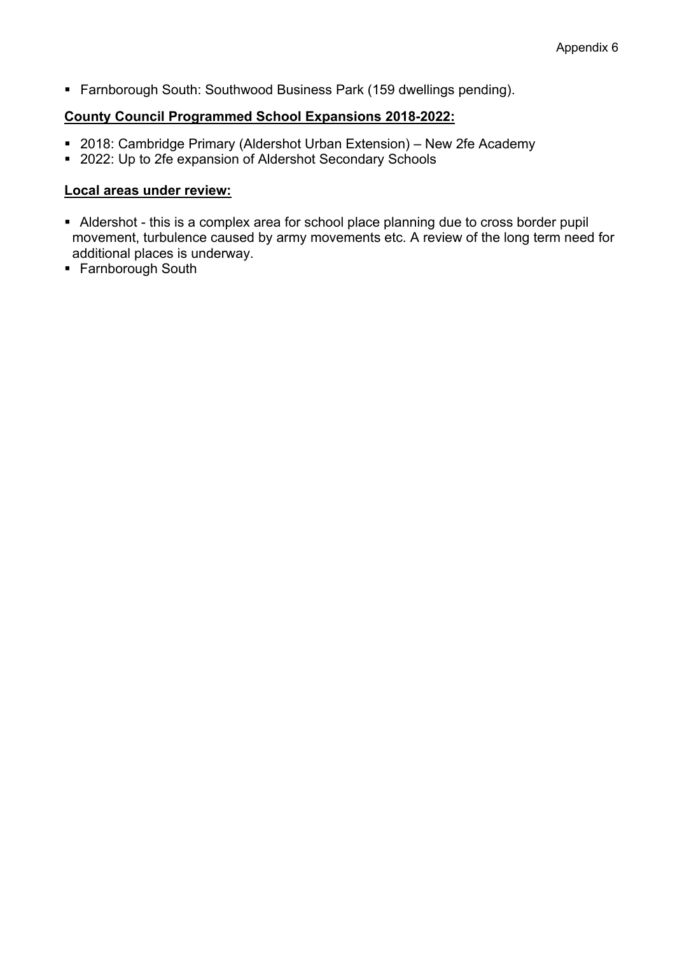Farnborough South: Southwood Business Park (159 dwellings pending).

#### **County Council Programmed School Expansions 2018-2022:**

- 2018: Cambridge Primary (Aldershot Urban Extension) New 2fe Academy
- 2022: Up to 2fe expansion of Aldershot Secondary Schools

#### **Local areas under review:**

- Aldershot this is a complex area for school place planning due to cross border pupil movement, turbulence caused by army movements etc. A review of the long term need for additional places is underway.
- **Farnborough South**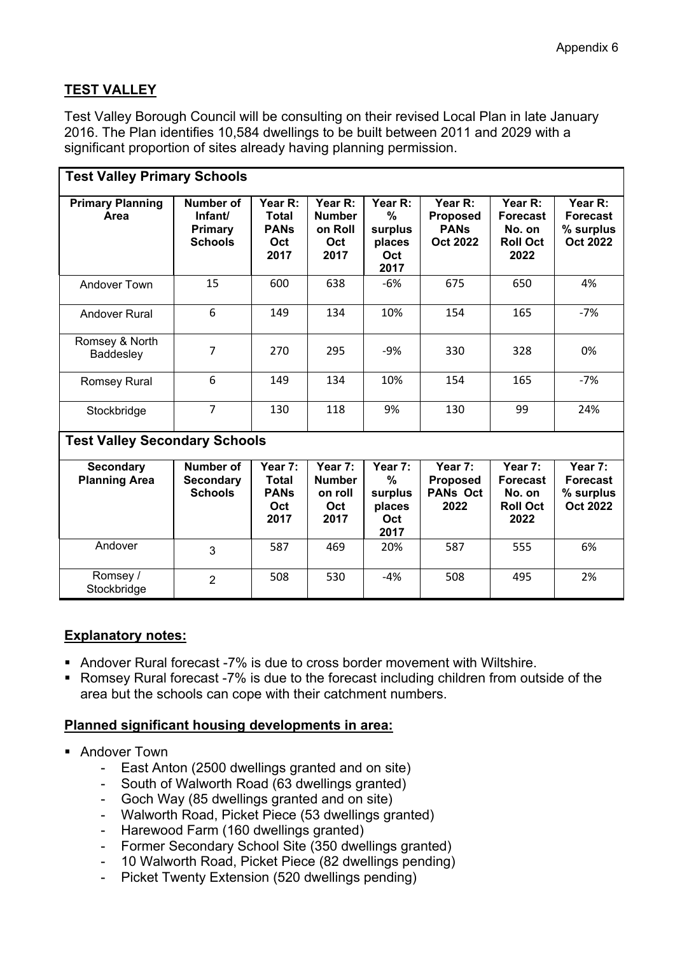# **TEST VALLEY**

Test Valley Borough Council will be consulting on their revised Local Plan in late January 2016. The Plan identifies 10,584 dwellings to be built between 2011 and 2029 with a significant proportion of sites already having planning permission.

| <b>Test Valley Primary Schools</b>       |                                                          |                                                       |                                                    |                                                     |                                                              |                                                                 |                                                            |  |  |  |
|------------------------------------------|----------------------------------------------------------|-------------------------------------------------------|----------------------------------------------------|-----------------------------------------------------|--------------------------------------------------------------|-----------------------------------------------------------------|------------------------------------------------------------|--|--|--|
| <b>Primary Planning</b><br>Area          | <b>Number of</b><br>Infant/<br>Primary<br><b>Schools</b> | Year R:<br>Total<br><b>PANs</b><br>Oct<br>2017        | Year R:<br><b>Number</b><br>on Roll<br>Oct<br>2017 | Year R:<br>%<br>surplus<br>places<br>Oct<br>2017    | Year R:<br><b>Proposed</b><br><b>PANs</b><br><b>Oct 2022</b> | Year R:<br><b>Forecast</b><br>No. on<br><b>Roll Oct</b><br>2022 | Year R:<br><b>Forecast</b><br>% surplus<br><b>Oct 2022</b> |  |  |  |
| <b>Andover Town</b>                      | 15                                                       | 600                                                   | 638                                                | $-6%$                                               | 675                                                          | 650                                                             | 4%                                                         |  |  |  |
| <b>Andover Rural</b>                     | 6                                                        | 149                                                   | 134                                                | 10%                                                 | 154                                                          | 165                                                             | $-7%$                                                      |  |  |  |
| Romsey & North<br>Baddesley              | 7                                                        | 270                                                   | 295                                                | -9%                                                 | 330                                                          | 328                                                             | 0%                                                         |  |  |  |
| Romsey Rural                             | 6                                                        | 149                                                   | 134                                                | 10%                                                 | 154                                                          | 165                                                             | $-7%$                                                      |  |  |  |
| Stockbridge                              | $\overline{7}$                                           | 130                                                   | 118                                                | 9%                                                  | 130                                                          | 99                                                              | 24%                                                        |  |  |  |
| <b>Test Valley Secondary Schools</b>     |                                                          |                                                       |                                                    |                                                     |                                                              |                                                                 |                                                            |  |  |  |
| <b>Secondary</b><br><b>Planning Area</b> | <b>Number of</b><br><b>Secondary</b><br><b>Schools</b>   | Year 7:<br><b>Total</b><br><b>PANs</b><br>Oct<br>2017 | Year 7:<br><b>Number</b><br>on roll<br>Oct<br>2017 | Year 7:<br>$\%$<br>surplus<br>places<br>Oct<br>2017 | Year 7:<br><b>Proposed</b><br><b>PANs Oct</b><br>2022        | Year 7:<br><b>Forecast</b><br>No. on<br><b>Roll Oct</b><br>2022 | Year 7:<br><b>Forecast</b><br>% surplus<br><b>Oct 2022</b> |  |  |  |
| Andover                                  | 3                                                        | 587                                                   | 469                                                | 20%                                                 | 587                                                          | 555                                                             | 6%                                                         |  |  |  |
| Romsey /<br>Stockbridge                  | $\overline{2}$                                           | 508                                                   | 530                                                | $-4%$                                               | 508                                                          | 495                                                             | 2%                                                         |  |  |  |

# **Explanatory notes:**

- Andover Rural forecast -7% is due to cross border movement with Wiltshire.
- Romsey Rural forecast -7% is due to the forecast including children from outside of the area but the schools can cope with their catchment numbers.

- **Andover Town** 
	- East Anton (2500 dwellings granted and on site)
	- South of Walworth Road (63 dwellings granted)
	- Goch Way (85 dwellings granted and on site)
	- Walworth Road, Picket Piece (53 dwellings granted)
	- Harewood Farm (160 dwellings granted)
	- Former Secondary School Site (350 dwellings granted)
	- 10 Walworth Road, Picket Piece (82 dwellings pending)
	- Picket Twenty Extension (520 dwellings pending)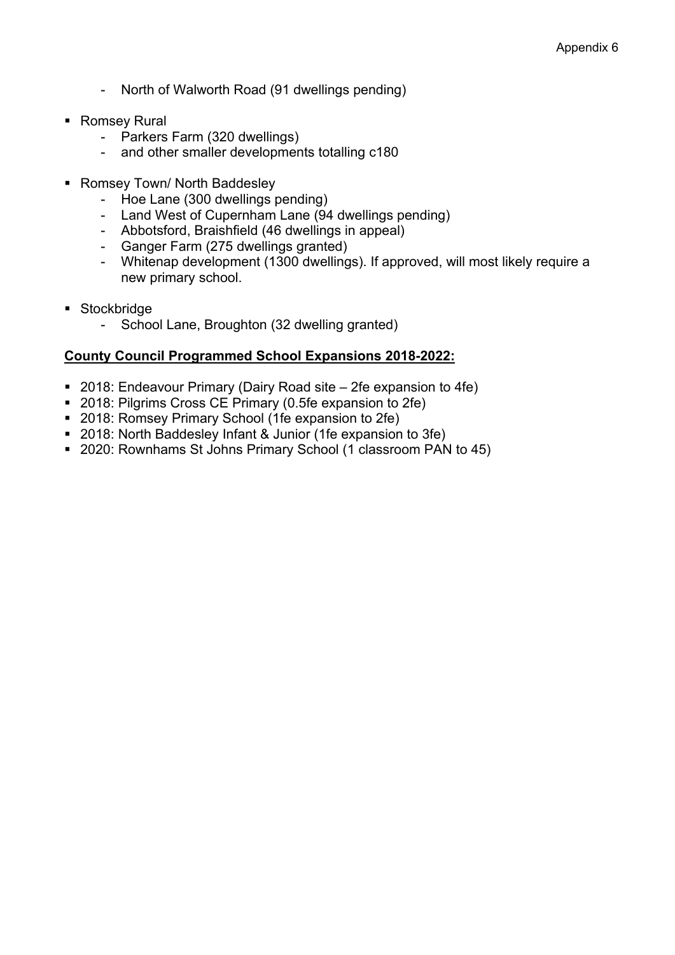- North of Walworth Road (91 dwellings pending)
- Romsey Rural
	- Parkers Farm (320 dwellings)
	- and other smaller developments totalling c180
- Romsey Town/ North Baddesley
	- Hoe Lane (300 dwellings pending)
	- Land West of Cupernham Lane (94 dwellings pending)
	- Abbotsford, Braishfield (46 dwellings in appeal)
	- Ganger Farm (275 dwellings granted)
	- Whitenap development (1300 dwellings). If approved, will most likely require a new primary school.
- **Stockbridge** 
	- School Lane, Broughton (32 dwelling granted)

#### **County Council Programmed School Expansions 2018-2022:**

- 2018: Endeavour Primary (Dairy Road site 2fe expansion to 4fe)
- 2018: Pilgrims Cross CE Primary (0.5fe expansion to 2fe)
- 2018: Romsey Primary School (1fe expansion to 2fe)
- 2018: North Baddesley Infant & Junior (1fe expansion to 3fe)
- 2020: Rownhams St Johns Primary School (1 classroom PAN to 45)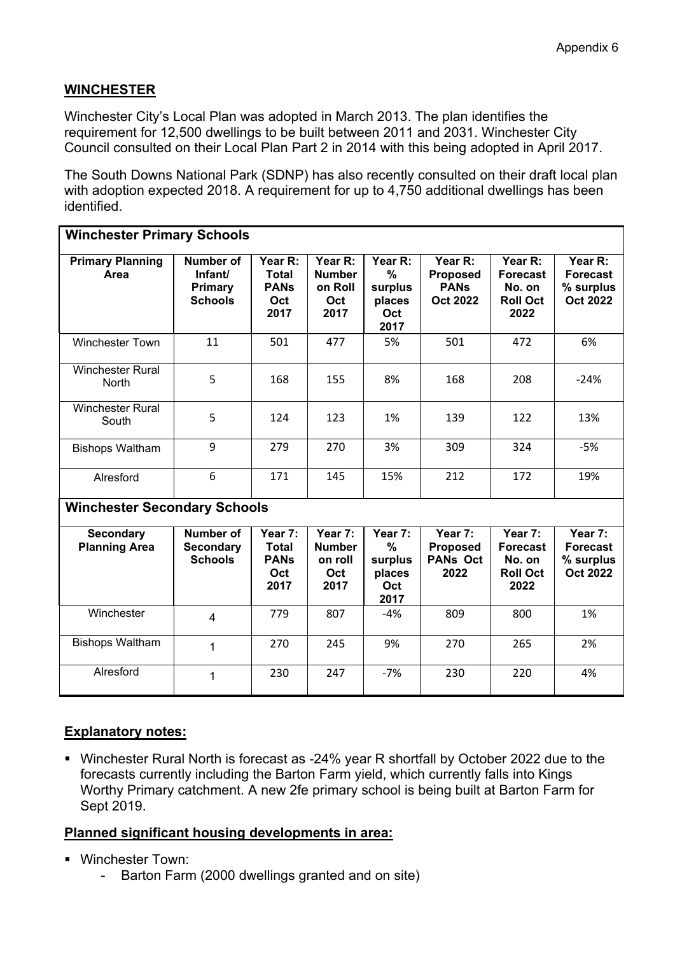# **WINCHESTER**

Winchester City's Local Plan was adopted in March 2013. The plan identifies the requirement for 12,500 dwellings to be built between 2011 and 2031. Winchester City Council consulted on their Local Plan Part 2 in 2014 with this being adopted in April 2017.

The South Downs National Park (SDNP) has also recently consulted on their draft local plan with adoption expected 2018. A requirement for up to 4,750 additional dwellings has been identified.

| <b>Winchester Primary Schools</b>        |                                                        |                                                       |                                                    |                                                              |                                                              |                                                                 |                                                            |  |  |  |
|------------------------------------------|--------------------------------------------------------|-------------------------------------------------------|----------------------------------------------------|--------------------------------------------------------------|--------------------------------------------------------------|-----------------------------------------------------------------|------------------------------------------------------------|--|--|--|
| <b>Primary Planning</b><br>Area          | Number of<br>Infant/<br>Primary<br><b>Schools</b>      | Year R:<br><b>Total</b><br><b>PANs</b><br>Oct<br>2017 | Year R:<br><b>Number</b><br>on Roll<br>Oct<br>2017 | Year R:<br>$\frac{0}{0}$<br>surplus<br>places<br>Oct<br>2017 | Year R:<br><b>Proposed</b><br><b>PANS</b><br><b>Oct 2022</b> | Year R:<br><b>Forecast</b><br>No. on<br><b>Roll Oct</b><br>2022 | Year R:<br><b>Forecast</b><br>% surplus<br><b>Oct 2022</b> |  |  |  |
| <b>Winchester Town</b>                   | 11                                                     | 501                                                   | 477                                                | 5%                                                           | 501                                                          | 472                                                             | 6%                                                         |  |  |  |
| <b>Winchester Rural</b><br><b>North</b>  | 5                                                      | 168                                                   | 155                                                | 8%                                                           | 168                                                          | 208                                                             | $-24%$                                                     |  |  |  |
| <b>Winchester Rural</b><br>South         | 5                                                      | 124                                                   | 123                                                | 1%                                                           | 139                                                          | 122                                                             | 13%                                                        |  |  |  |
| <b>Bishops Waltham</b>                   | 9                                                      | 279                                                   | 270                                                | 3%                                                           | 309                                                          | 324                                                             | $-5%$                                                      |  |  |  |
| Alresford                                | 6                                                      | 171                                                   | 145                                                | 15%                                                          | 212                                                          | 172                                                             | 19%                                                        |  |  |  |
| <b>Winchester Secondary Schools</b>      |                                                        |                                                       |                                                    |                                                              |                                                              |                                                                 |                                                            |  |  |  |
| <b>Secondary</b><br><b>Planning Area</b> | <b>Number of</b><br><b>Secondary</b><br><b>Schools</b> | Year 7:<br><b>Total</b><br><b>PANs</b><br>Oct<br>2017 | Year 7:<br><b>Number</b><br>on roll<br>Oct<br>2017 | Year 7:<br>$\frac{0}{0}$<br>surplus<br>places<br>Oct<br>2017 | Year 7:<br><b>Proposed</b><br><b>PANs Oct</b><br>2022        | Year 7:<br><b>Forecast</b><br>No. on<br><b>Roll Oct</b><br>2022 | Year 7:<br><b>Forecast</b><br>% surplus<br><b>Oct 2022</b> |  |  |  |
| Winchester                               | $\overline{4}$                                         | 779                                                   | 807                                                | $-4%$                                                        | 809                                                          | 800                                                             | 1%                                                         |  |  |  |
| <b>Bishops Waltham</b>                   | 1                                                      | 270                                                   | 245                                                | 9%                                                           | 270                                                          | 265                                                             | 2%                                                         |  |  |  |
| Alresford                                | 1                                                      | 230                                                   | 247                                                | $-7%$                                                        | 230                                                          | 220                                                             | 4%                                                         |  |  |  |

# **Explanatory notes:**

 Winchester Rural North is forecast as -24% year R shortfall by October 2022 due to the forecasts currently including the Barton Farm yield, which currently falls into Kings Worthy Primary catchment. A new 2fe primary school is being built at Barton Farm for Sept 2019.

- Winchester Town:
	- Barton Farm (2000 dwellings granted and on site)